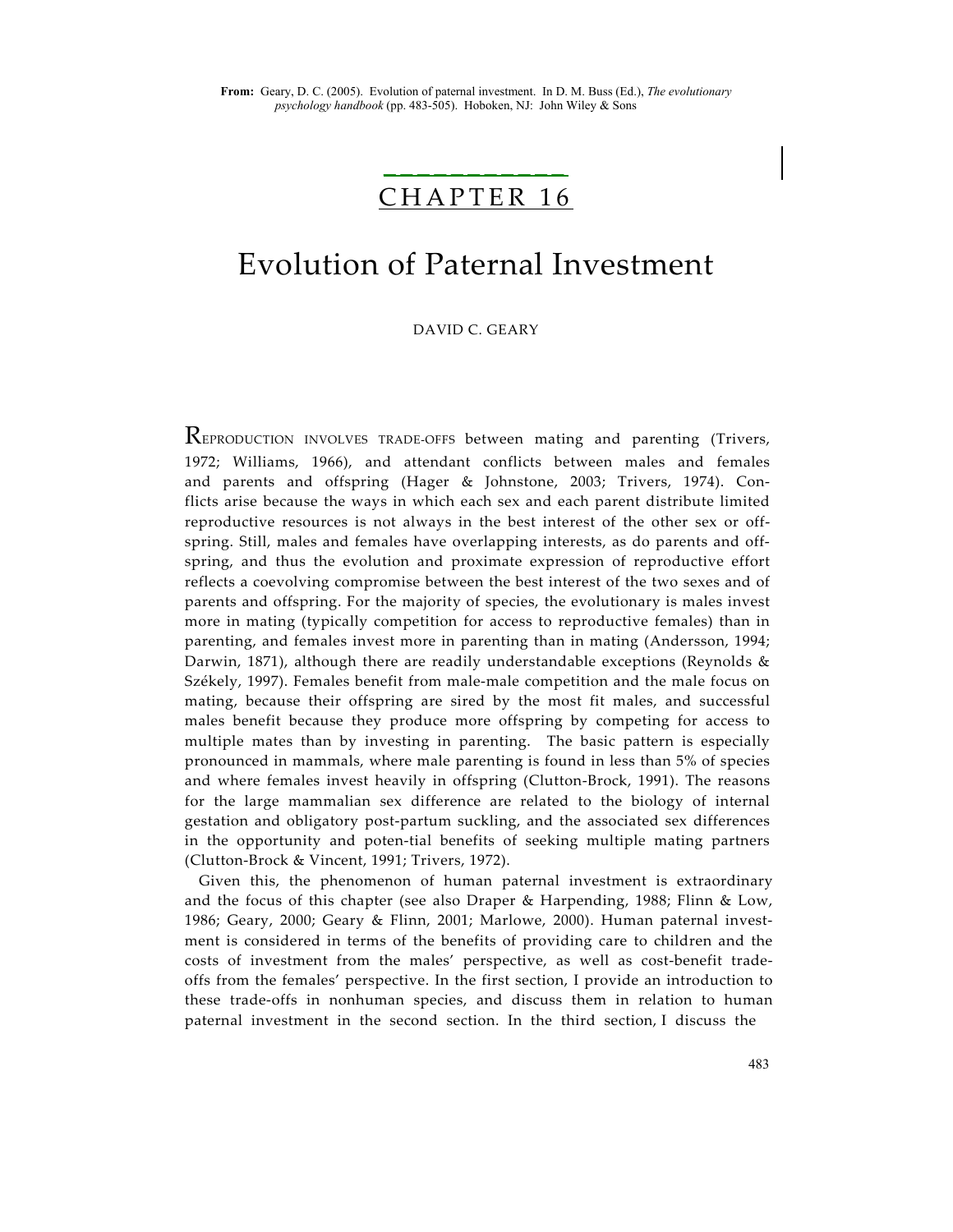**From:** Geary, D. C. (2005). Evolution of paternal investment. In D. M. Buss (Ed.), *The evolutionary psychology handbook* (pp. 483-505). Hoboken, NJ: John Wiley & Sons

# \_\_\_\_\_\_\_\_\_\_\_ CHAPTER 16

# Evolution of Paternal Investment

DAVID C. GEARY

REPRODUCTION INVOLVES TRADE-OFFS between mating and parenting (Trivers, 1972; Williams, 1966), and attendant conflicts between males and females and parents and offspring (Hager & Johnstone, 2003; Trivers, 1974). Conflicts arise because the ways in which each sex and each parent distribute limited reproductive resources is not always in the best interest of the other sex or offspring. Still, males and females have overlapping interests, as do parents and offspring, and thus the evolution and proximate expression of reproductive effort reflects a coevolving compromise between the best interest of the two sexes and of parents and offspring. For the majority of species, the evolutionary is males invest more in mating (typically competition for access to reproductive females) than in parenting, and females invest more in parenting than in mating (Andersson, 1994; Darwin, 1871), although there are readily understandable exceptions (Reynolds & Székely, 1997). Females benefit from male-male competition and the male focus on mating, because their offspring are sired by the most fit males, and successful males benefit because they produce more offspring by competing for access to multiple mates than by investing in parenting. The basic pattern is especially pronounced in mammals, where male parenting is found in less than 5% of species and where females invest heavily in offspring (Clutton-Brock, 1991). The reasons for the large mammalian sex difference are related to the biology of internal gestation and obligatory post-partum suckling, and the associated sex differences in the opportunity and poten-tial benefits of seeking multiple mating partners (Clutton-Brock & Vincent, 1991; Trivers, 1972).

Given this, the phenomenon of human paternal investment is extraordinary and the focus of this chapter (see also Draper & Harpending, 1988; Flinn & Low, 1986; Geary, 2000; Geary & Flinn, 2001; Marlowe, 2000). Human paternal investment is considered in terms of the benefits of providing care to children and the costs of investment from the males' perspective, as well as cost-benefit tradeoffs from the females' perspective. In the first section, I provide an introduction to these trade-offs in nonhuman species, and discuss them in relation to human paternal investment in the second section. In the third section, I discuss the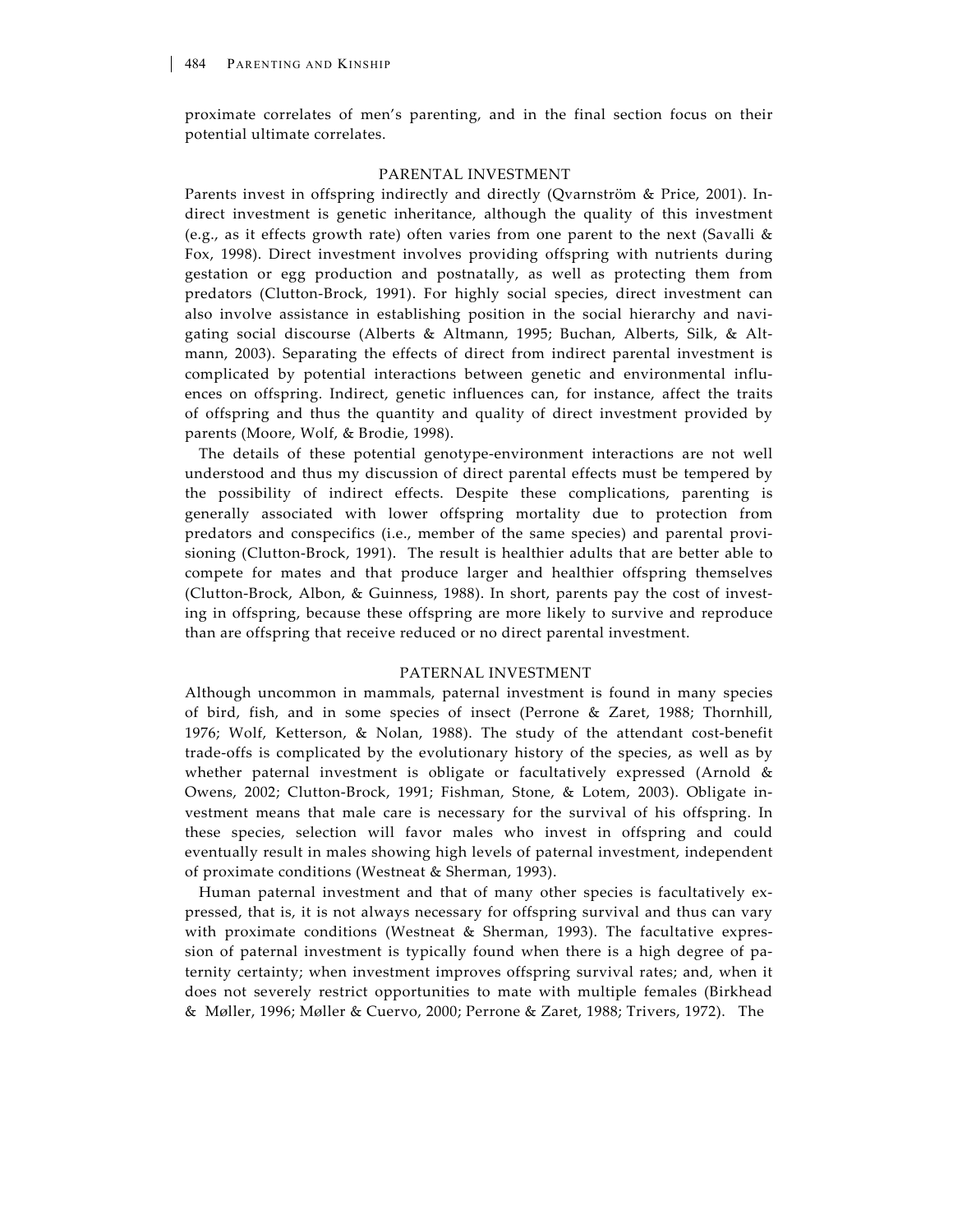proximate correlates of men's parenting, and in the final section focus on their potential ultimate correlates.

# PARENTAL INVESTMENT

Parents invest in offspring indirectly and directly (Qvarnström & Price, 2001). Indirect investment is genetic inheritance, although the quality of this investment (e.g., as it effects growth rate) often varies from one parent to the next (Savalli & Fox, 1998). Direct investment involves providing offspring with nutrients during gestation or egg production and postnatally, as well as protecting them from predators (Clutton-Brock, 1991). For highly social species, direct investment can also involve assistance in establishing position in the social hierarchy and navigating social discourse (Alberts & Altmann, 1995; Buchan, Alberts, Silk, & Altmann, 2003). Separating the effects of direct from indirect parental investment is complicated by potential interactions between genetic and environmental influences on offspring. Indirect, genetic influences can, for instance, affect the traits of offspring and thus the quantity and quality of direct investment provided by parents (Moore, Wolf, & Brodie, 1998).

The details of these potential genotype-environment interactions are not well understood and thus my discussion of direct parental effects must be tempered by the possibility of indirect effects. Despite these complications, parenting is generally associated with lower offspring mortality due to protection from predators and conspecifics (i.e., member of the same species) and parental provisioning (Clutton-Brock, 1991). The result is healthier adults that are better able to compete for mates and that produce larger and healthier offspring themselves (Clutton-Brock, Albon, & Guinness, 1988). In short, parents pay the cost of investing in offspring, because these offspring are more likely to survive and reproduce than are offspring that receive reduced or no direct parental investment.

### PATERNAL INVESTMENT

Although uncommon in mammals, paternal investment is found in many species of bird, fish, and in some species of insect (Perrone & Zaret, 1988; Thornhill, 1976; Wolf, Ketterson, & Nolan, 1988). The study of the attendant cost-benefit trade-offs is complicated by the evolutionary history of the species, as well as by whether paternal investment is obligate or facultatively expressed (Arnold & Owens, 2002; Clutton-Brock, 1991; Fishman, Stone, & Lotem, 2003). Obligate investment means that male care is necessary for the survival of his offspring. In these species, selection will favor males who invest in offspring and could eventually result in males showing high levels of paternal investment, independent of proximate conditions (Westneat & Sherman, 1993).

Human paternal investment and that of many other species is facultatively expressed, that is, it is not always necessary for offspring survival and thus can vary with proximate conditions (Westneat & Sherman, 1993). The facultative expression of paternal investment is typically found when there is a high degree of paternity certainty; when investment improves offspring survival rates; and, when it does not severely restrict opportunities to mate with multiple females (Birkhead & Møller, 1996; Møller & Cuervo, 2000; Perrone & Zaret, 1988; Trivers, 1972). The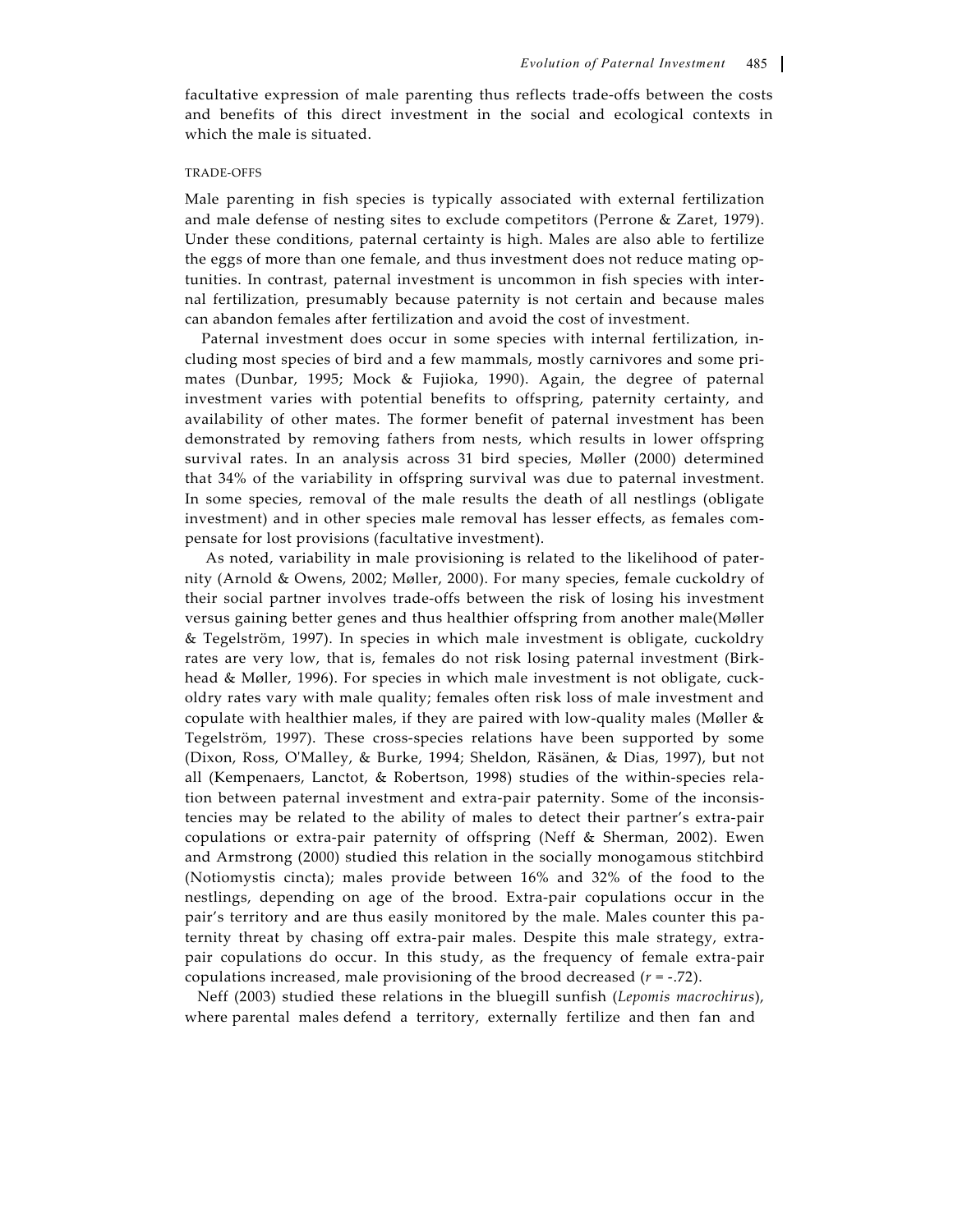facultative expression of male parenting thus reflects trade-offs between the costs and benefits of this direct investment in the social and ecological contexts in which the male is situated.

#### TRADE-OFFS

Male parenting in fish species is typically associated with external fertilization and male defense of nesting sites to exclude competitors (Perrone & Zaret, 1979). Under these conditions, paternal certainty is high. Males are also able to fertilize the eggs of more than one female, and thus investment does not reduce mating optunities. In contrast, paternal investment is uncommon in fish species with internal fertilization, presumably because paternity is not certain and because males can abandon females after fertilization and avoid the cost of investment.

 Paternal investment does occur in some species with internal fertilization, including most species of bird and a few mammals, mostly carnivores and some primates (Dunbar, 1995; Mock & Fujioka, 1990). Again, the degree of paternal investment varies with potential benefits to offspring, paternity certainty, and availability of other mates. The former benefit of paternal investment has been demonstrated by removing fathers from nests, which results in lower offspring survival rates. In an analysis across 31 bird species, Møller (2000) determined that 34% of the variability in offspring survival was due to paternal investment. In some species, removal of the male results the death of all nestlings (obligate investment) and in other species male removal has lesser effects, as females compensate for lost provisions (facultative investment).

 As noted, variability in male provisioning is related to the likelihood of paternity (Arnold & Owens, 2002; Møller, 2000). For many species, female cuckoldry of their social partner involves trade-offs between the risk of losing his investment versus gaining better genes and thus healthier offspring from another male(Møller & Tegelström, 1997). In species in which male investment is obligate, cuckoldry rates are very low, that is, females do not risk losing paternal investment (Birkhead & Møller, 1996). For species in which male investment is not obligate, cuckoldry rates vary with male quality; females often risk loss of male investment and copulate with healthier males, if they are paired with low-quality males (Møller & Tegelström, 1997). These cross-species relations have been supported by some (Dixon, Ross, OʹMalley, & Burke, 1994; Sheldon, Räsänen, & Dias, 1997), but not all (Kempenaers, Lanctot, & Robertson, 1998) studies of the within-species relation between paternal investment and extra-pair paternity. Some of the inconsistencies may be related to the ability of males to detect their partner's extra-pair copulations or extra-pair paternity of offspring (Neff & Sherman, 2002). Ewen and Armstrong (2000) studied this relation in the socially monogamous stitchbird (Notiomystis cincta); males provide between 16% and 32% of the food to the nestlings, depending on age of the brood. Extra-pair copulations occur in the pair's territory and are thus easily monitored by the male. Males counter this paternity threat by chasing off extra-pair males. Despite this male strategy, extrapair copulations do occur. In this study, as the frequency of female extra-pair copulations increased, male provisioning of the brood decreased (*r* = -.72).

 Neff (2003) studied these relations in the bluegill sunfish (*Lepomis macrochirus*), where parental males defend a territory, externally fertilize and then fan and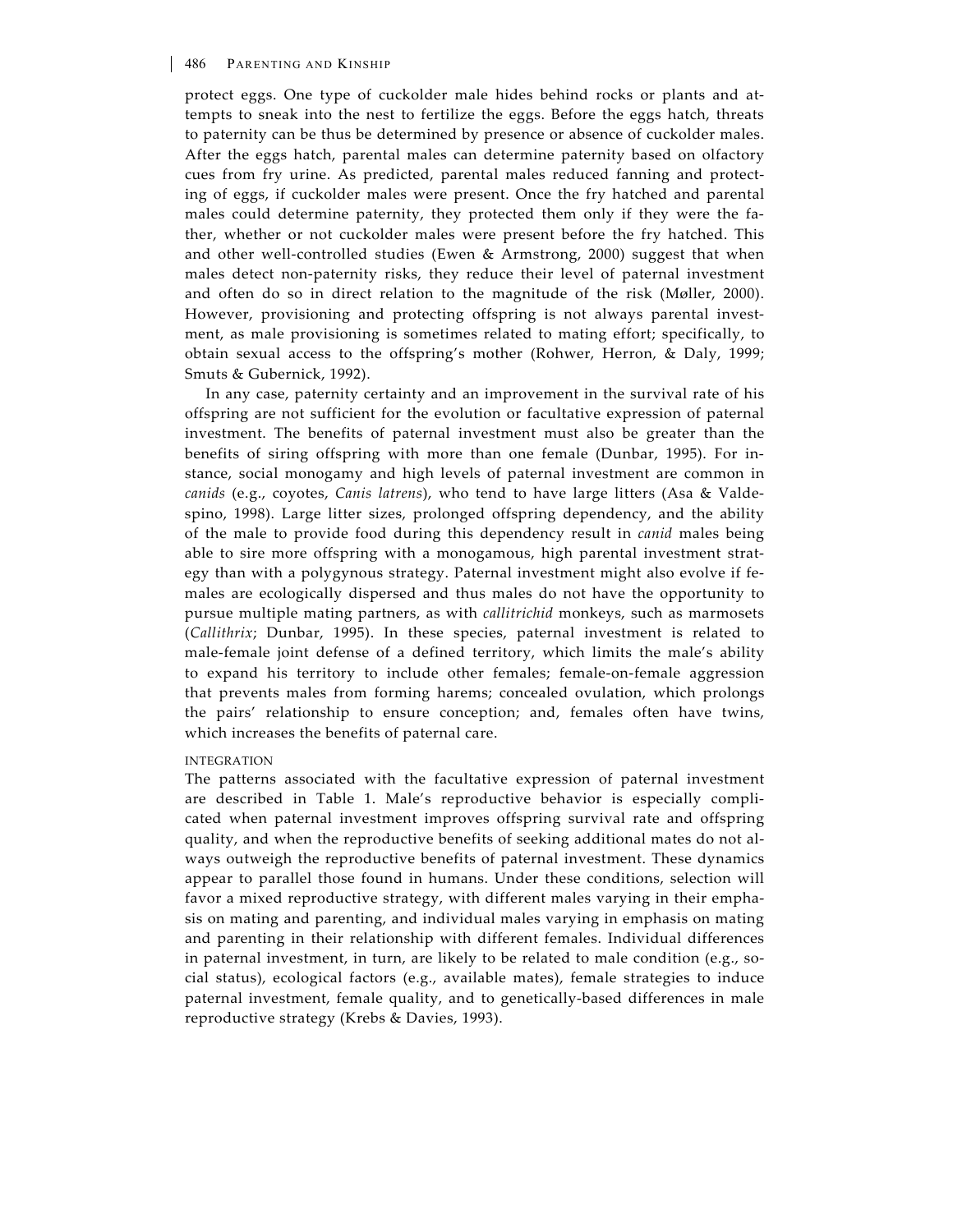protect eggs. One type of cuckolder male hides behind rocks or plants and attempts to sneak into the nest to fertilize the eggs. Before the eggs hatch, threats to paternity can be thus be determined by presence or absence of cuckolder males. After the eggs hatch, parental males can determine paternity based on olfactory cues from fry urine. As predicted, parental males reduced fanning and protecting of eggs, if cuckolder males were present. Once the fry hatched and parental males could determine paternity, they protected them only if they were the father, whether or not cuckolder males were present before the fry hatched. This and other well-controlled studies (Ewen & Armstrong, 2000) suggest that when males detect non-paternity risks, they reduce their level of paternal investment and often do so in direct relation to the magnitude of the risk (Møller, 2000). However, provisioning and protecting offspring is not always parental investment, as male provisioning is sometimes related to mating effort; specifically, to obtain sexual access to the offspring's mother (Rohwer, Herron, & Daly, 1999; Smuts & Gubernick, 1992).

 In any case, paternity certainty and an improvement in the survival rate of his offspring are not sufficient for the evolution or facultative expression of paternal investment. The benefits of paternal investment must also be greater than the benefits of siring offspring with more than one female (Dunbar, 1995). For instance, social monogamy and high levels of paternal investment are common in *canids* (e.g., coyotes, *Canis latrens*), who tend to have large litters (Asa & Valdespino, 1998). Large litter sizes, prolonged offspring dependency, and the ability of the male to provide food during this dependency result in *canid* males being able to sire more offspring with a monogamous, high parental investment strategy than with a polygynous strategy. Paternal investment might also evolve if females are ecologically dispersed and thus males do not have the opportunity to pursue multiple mating partners, as with *callitrichid* monkeys, such as marmosets (*Callithrix*; Dunbar, 1995). In these species, paternal investment is related to male-female joint defense of a defined territory, which limits the male's ability to expand his territory to include other females; female-on-female aggression that prevents males from forming harems; concealed ovulation, which prolongs the pairs' relationship to ensure conception; and, females often have twins, which increases the benefits of paternal care.

#### INTEGRATION

The patterns associated with the facultative expression of paternal investment are described in Table 1. Male's reproductive behavior is especially complicated when paternal investment improves offspring survival rate and offspring quality, and when the reproductive benefits of seeking additional mates do not always outweigh the reproductive benefits of paternal investment. These dynamics appear to parallel those found in humans. Under these conditions, selection will favor a mixed reproductive strategy, with different males varying in their emphasis on mating and parenting, and individual males varying in emphasis on mating and parenting in their relationship with different females. Individual differences in paternal investment, in turn, are likely to be related to male condition (e.g., social status), ecological factors (e.g., available mates), female strategies to induce paternal investment, female quality, and to genetically-based differences in male reproductive strategy (Krebs & Davies, 1993).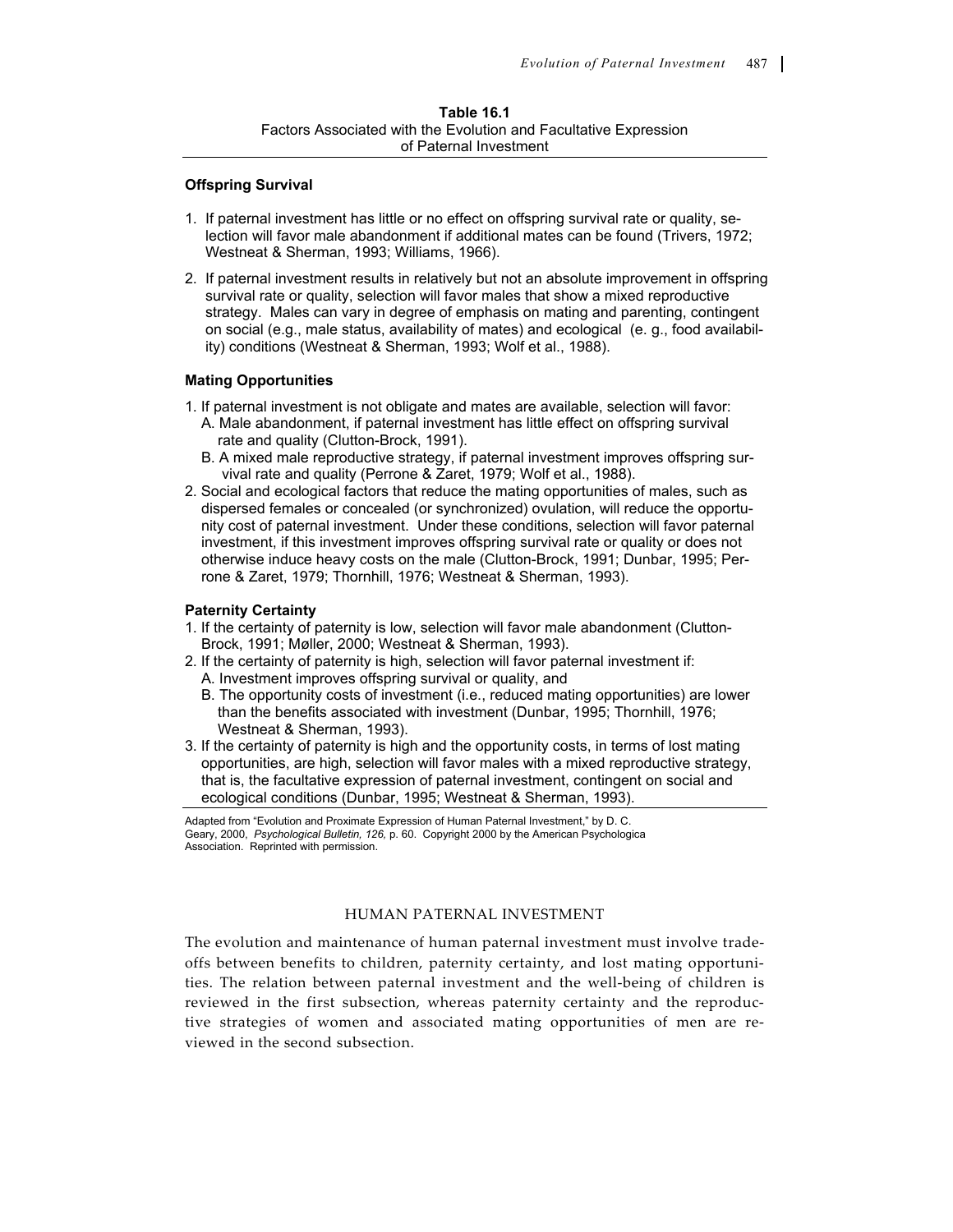# **Table 16.1**  Factors Associated with the Evolution and Facultative Expression of Paternal Investment

# **Offspring Survival**

- 1. If paternal investment has little or no effect on offspring survival rate or quality, se lection will favor male abandonment if additional mates can be found (Trivers, 1972; Westneat & Sherman, 1993; Williams, 1966).
- 2. If paternal investment results in relatively but not an absolute improvement in offspring survival rate or quality, selection will favor males that show a mixed reproductive strategy. Males can vary in degree of emphasis on mating and parenting, contingent on social (e.g., male status, availability of mates) and ecological (e. g., food availabil ity) conditions (Westneat & Sherman, 1993; Wolf et al., 1988).

# **Mating Opportunities**

- 1. If paternal investment is not obligate and mates are available, selection will favor: A. Male abandonment, if paternal investment has little effect on offspring survival rate and quality (Clutton-Brock, 1991).
	- B. A mixed male reproductive strategy, if paternal investment improves offspring sur vival rate and quality (Perrone & Zaret, 1979; Wolf et al., 1988).
- 2. Social and ecological factors that reduce the mating opportunities of males, such as dispersed females or concealed (or synchronized) ovulation, will reduce the opportu nity cost of paternal investment. Under these conditions, selection will favor paternal investment, if this investment improves offspring survival rate or quality or does not otherwise induce heavy costs on the male (Clutton-Brock, 1991; Dunbar, 1995; Per rone & Zaret, 1979; Thornhill, 1976; Westneat & Sherman, 1993).

# **Paternity Certainty**

- 1. If the certainty of paternity is low, selection will favor male abandonment (Clutton- Brock, 1991; Møller, 2000; Westneat & Sherman, 1993).
- 2. If the certainty of paternity is high, selection will favor paternal investment if:
- A. Investment improves offspring survival or quality, and
- B. The opportunity costs of investment (i.e., reduced mating opportunities) are lower than the benefits associated with investment (Dunbar, 1995; Thornhill, 1976; Westneat & Sherman, 1993).
- 3. If the certainty of paternity is high and the opportunity costs, in terms of lost mating opportunities, are high, selection will favor males with a mixed reproductive strategy, that is, the facultative expression of paternal investment, contingent on social and ecological conditions (Dunbar, 1995; Westneat & Sherman, 1993).

Adapted from "Evolution and Proximate Expression of Human Paternal Investment," by D. C. Geary, 2000, *Psychological Bulletin, 126,* p. 60. Copyright 2000 by the American Psychologica Association. Reprinted with permission.

# HUMAN PATERNAL INVESTMENT

The evolution and maintenance of human paternal investment must involve tradeoffs between benefits to children, paternity certainty, and lost mating opportunities. The relation between paternal investment and the well-being of children is reviewed in the first subsection, whereas paternity certainty and the reproductive strategies of women and associated mating opportunities of men are reviewed in the second subsection.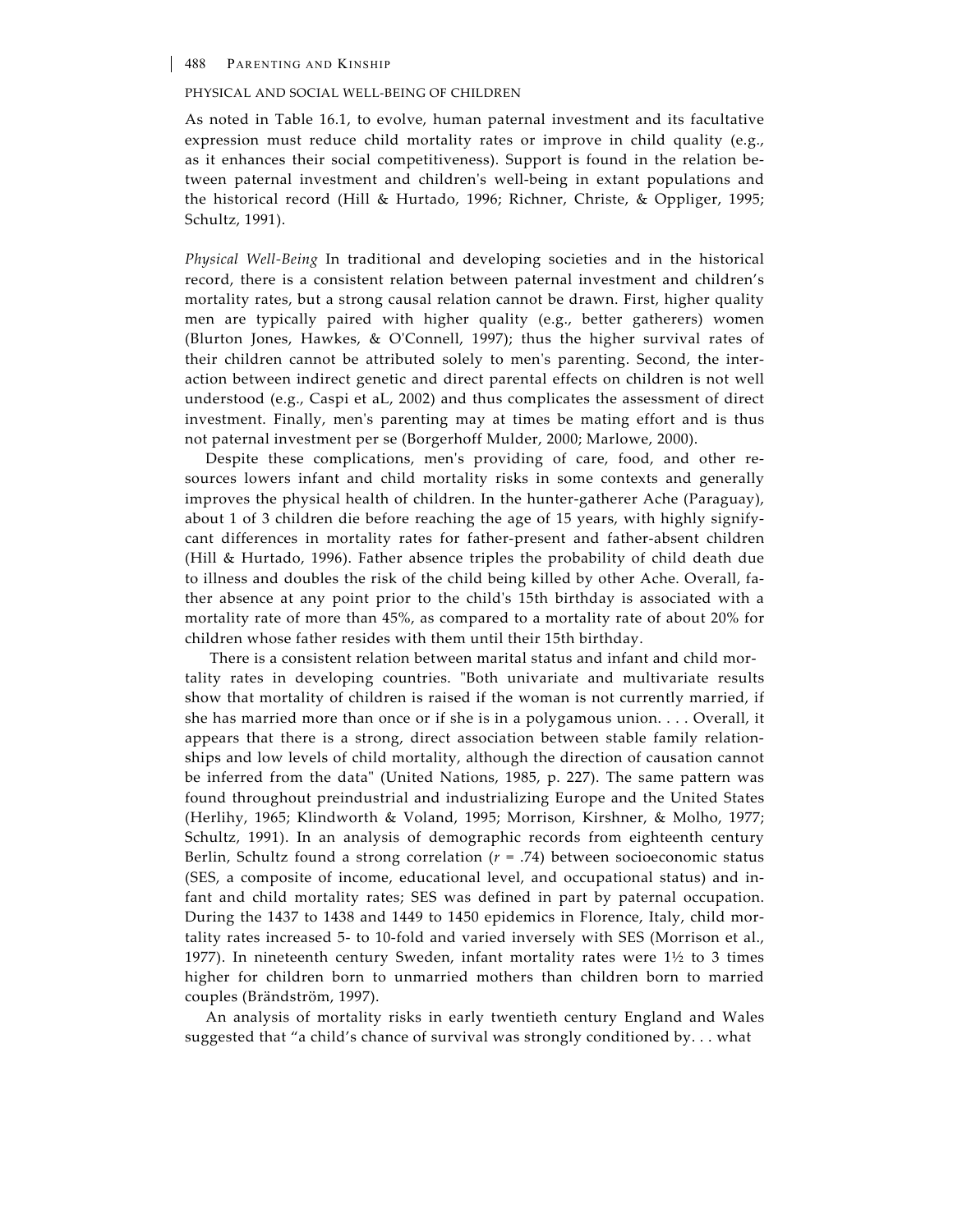# PHYSICAL AND SOCIAL WELL-BEING OF CHILDREN

As noted in Table 16.1, to evolve, human paternal investment and its facultative expression must reduce child mortality rates or improve in child quality (e.g., as it enhances their social competitiveness). Support is found in the relation between paternal investment and childrenʹs well-being in extant populations and the historical record (Hill & Hurtado, 1996; Richner, Christe, & Oppliger, 1995; Schultz, 1991).

*Physical Well-Being* In traditional and developing societies and in the historical record, there is a consistent relation between paternal investment and children's mortality rates, but a strong causal relation cannot be drawn. First, higher quality men are typically paired with higher quality (e.g., better gatherers) women (Blurton Jones, Hawkes,  $\&$  O'Connell, 1997); thus the higher survival rates of their children cannot be attributed solely to menʹs parenting. Second, the interaction between indirect genetic and direct parental effects on children is not well understood (e.g., Caspi et aL, 2002) and thus complicates the assessment of direct investment. Finally, menʹs parenting may at times be mating effort and is thus not paternal investment per se (Borgerhoff Mulder, 2000; Marlowe, 2000).

 Despite these complications, menʹs providing of care, food, and other resources lowers infant and child mortality risks in some contexts and generally improves the physical health of children. In the hunter-gatherer Ache (Paraguay), about 1 of 3 children die before reaching the age of 15 years, with highly signifycant differences in mortality rates for father-present and father-absent children (Hill & Hurtado, 1996). Father absence triples the probability of child death due to illness and doubles the risk of the child being killed by other Ache. Overall, father absence at any point prior to the childʹs 15th birthday is associated with a mortality rate of more than 45%, as compared to a mortality rate of about 20% for children whose father resides with them until their 15th birthday.

 There is a consistent relation between marital status and infant and child mortality rates in developing countries. "Both univariate and multivariate results show that mortality of children is raised if the woman is not currently married, if she has married more than once or if she is in a polygamous union. . . . Overall, it appears that there is a strong, direct association between stable family relationships and low levels of child mortality, although the direction of causation cannot be inferred from the data" (United Nations, 1985, p. 227). The same pattern was found throughout preindustrial and industrializing Europe and the United States (Herlihy, 1965; Klindworth & Voland, 1995; Morrison, Kirshner, & Molho, 1977; Schultz, 1991). In an analysis of demographic records from eighteenth century Berlin, Schultz found a strong correlation (*r* = .74) between socioeconomic status (SES, a composite of income, educational level, and occupational status) and infant and child mortality rates; SES was defined in part by paternal occupation. During the 1437 to 1438 and 1449 to 1450 epidemics in Florence, Italy, child mortality rates increased 5- to 10-fold and varied inversely with SES (Morrison et al., 1977). In nineteenth century Sweden, infant mortality rates were 1½ to 3 times higher for children born to unmarried mothers than children born to married couples (Brändström, 1997).

 An analysis of mortality risks in early twentieth century England and Wales suggested that "a child's chance of survival was strongly conditioned by. . . what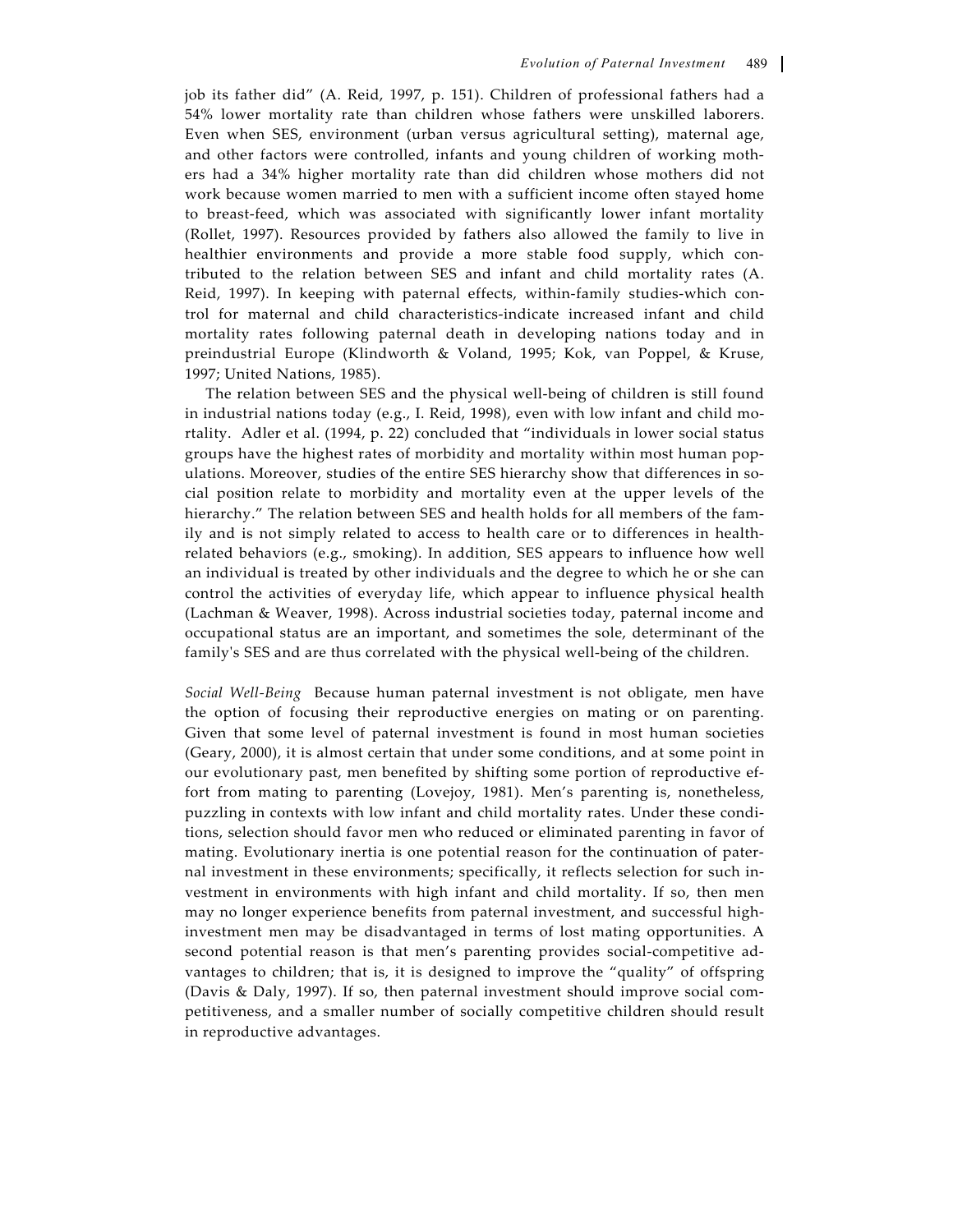job its father did" (A. Reid, 1997, p. 151). Children of professional fathers had a 54% lower mortality rate than children whose fathers were unskilled laborers. Even when SES, environment (urban versus agricultural setting), maternal age, and other factors were controlled, infants and young children of working mothers had a 34% higher mortality rate than did children whose mothers did not work because women married to men with a sufficient income often stayed home to breast-feed, which was associated with significantly lower infant mortality (Rollet, 1997). Resources provided by fathers also allowed the family to live in healthier environments and provide a more stable food supply, which contributed to the relation between SES and infant and child mortality rates (A. Reid, 1997). In keeping with paternal effects, within-family studies-which control for maternal and child characteristics-indicate increased infant and child mortality rates following paternal death in developing nations today and in preindustrial Europe (Klindworth & Voland, 1995; Kok, van Poppel, & Kruse, 1997; United Nations, 1985).

 The relation between SES and the physical well-being of children is still found in industrial nations today (e.g., I. Reid, 1998), even with low infant and child mortality. Adler et al. (1994, p. 22) concluded that "individuals in lower social status groups have the highest rates of morbidity and mortality within most human populations. Moreover, studies of the entire SES hierarchy show that differences in social position relate to morbidity and mortality even at the upper levels of the hierarchy." The relation between SES and health holds for all members of the family and is not simply related to access to health care or to differences in healthrelated behaviors (e.g., smoking). In addition, SES appears to influence how well an individual is treated by other individuals and the degree to which he or she can control the activities of everyday life, which appear to influence physical health (Lachman & Weaver, 1998). Across industrial societies today, paternal income and occupational status are an important, and sometimes the sole, determinant of the familyʹs SES and are thus correlated with the physical well-being of the children.

*Social Well-Being* Because human paternal investment is not obligate, men have the option of focusing their reproductive energies on mating or on parenting. Given that some level of paternal investment is found in most human societies (Geary, 2000), it is almost certain that under some conditions, and at some point in our evolutionary past, men benefited by shifting some portion of reproductive effort from mating to parenting (Lovejoy, 1981). Men's parenting is, nonetheless, puzzling in contexts with low infant and child mortality rates. Under these conditions, selection should favor men who reduced or eliminated parenting in favor of mating. Evolutionary inertia is one potential reason for the continuation of paternal investment in these environments; specifically, it reflects selection for such investment in environments with high infant and child mortality. If so, then men may no longer experience benefits from paternal investment, and successful highinvestment men may be disadvantaged in terms of lost mating opportunities. A second potential reason is that men's parenting provides social-competitive advantages to children; that is, it is designed to improve the "quality" of offspring (Davis & Daly, 1997). If so, then paternal investment should improve social competitiveness, and a smaller number of socially competitive children should result in reproductive advantages.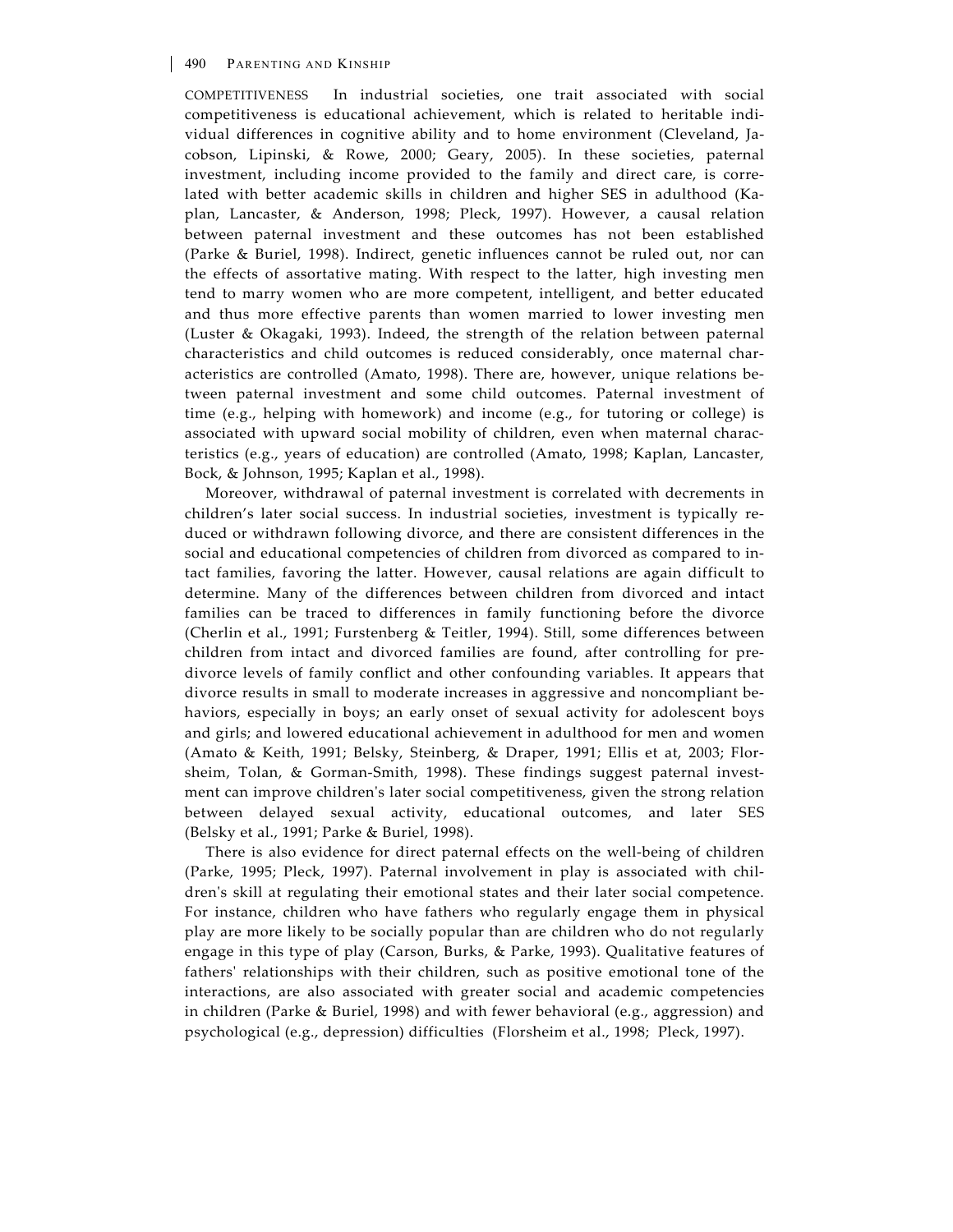COMPETITIVENESS In industrial societies, one trait associated with social competitiveness is educational achievement, which is related to heritable individual differences in cognitive ability and to home environment (Cleveland, Jacobson, Lipinski, & Rowe, 2000; Geary, 2005). In these societies, paternal investment, including income provided to the family and direct care, is correlated with better academic skills in children and higher SES in adulthood (Kaplan, Lancaster, & Anderson, 1998; Pleck, 1997). However, a causal relation between paternal investment and these outcomes has not been established (Parke & Buriel, 1998). Indirect, genetic influences cannot be ruled out, nor can the effects of assortative mating. With respect to the latter, high investing men tend to marry women who are more competent, intelligent, and better educated and thus more effective parents than women married to lower investing men (Luster & Okagaki, 1993). Indeed, the strength of the relation between paternal characteristics and child outcomes is reduced considerably, once maternal characteristics are controlled (Amato, 1998). There are, however, unique relations between paternal investment and some child outcomes. Paternal investment of time (e.g., helping with homework) and income (e.g., for tutoring or college) is associated with upward social mobility of children, even when maternal characteristics (e.g., years of education) are controlled (Amato, 1998; Kaplan, Lancaster, Bock, & Johnson, 1995; Kaplan et al., 1998).

 Moreover, withdrawal of paternal investment is correlated with decrements in children's later social success. In industrial societies, investment is typically reduced or withdrawn following divorce, and there are consistent differences in the social and educational competencies of children from divorced as compared to intact families, favoring the latter. However, causal relations are again difficult to determine. Many of the differences between children from divorced and intact families can be traced to differences in family functioning before the divorce (Cherlin et al., 1991; Furstenberg & Teitler, 1994). Still, some differences between children from intact and divorced families are found, after controlling for predivorce levels of family conflict and other confounding variables. It appears that divorce results in small to moderate increases in aggressive and noncompliant behaviors, especially in boys; an early onset of sexual activity for adolescent boys and girls; and lowered educational achievement in adulthood for men and women (Amato & Keith, 1991; Belsky, Steinberg, & Draper, 1991; Ellis et at, 2003; Florsheim, Tolan, & Gorman-Smith, 1998). These findings suggest paternal investment can improve childrenʹs later social competitiveness, given the strong relation between delayed sexual activity, educational outcomes, and later SES (Belsky et al., 1991; Parke & Buriel, 1998).

 There is also evidence for direct paternal effects on the well-being of children (Parke, 1995; Pleck, 1997). Paternal involvement in play is associated with children's skill at regulating their emotional states and their later social competence. For instance, children who have fathers who regularly engage them in physical play are more likely to be socially popular than are children who do not regularly engage in this type of play (Carson, Burks, & Parke, 1993). Qualitative features of fathersʹ relationships with their children, such as positive emotional tone of the interactions, are also associated with greater social and academic competencies in children (Parke & Buriel, 1998) and with fewer behavioral (e.g., aggression) and psychological (e.g., depression) difficulties (Florsheim et al., 1998; Pleck, 1997).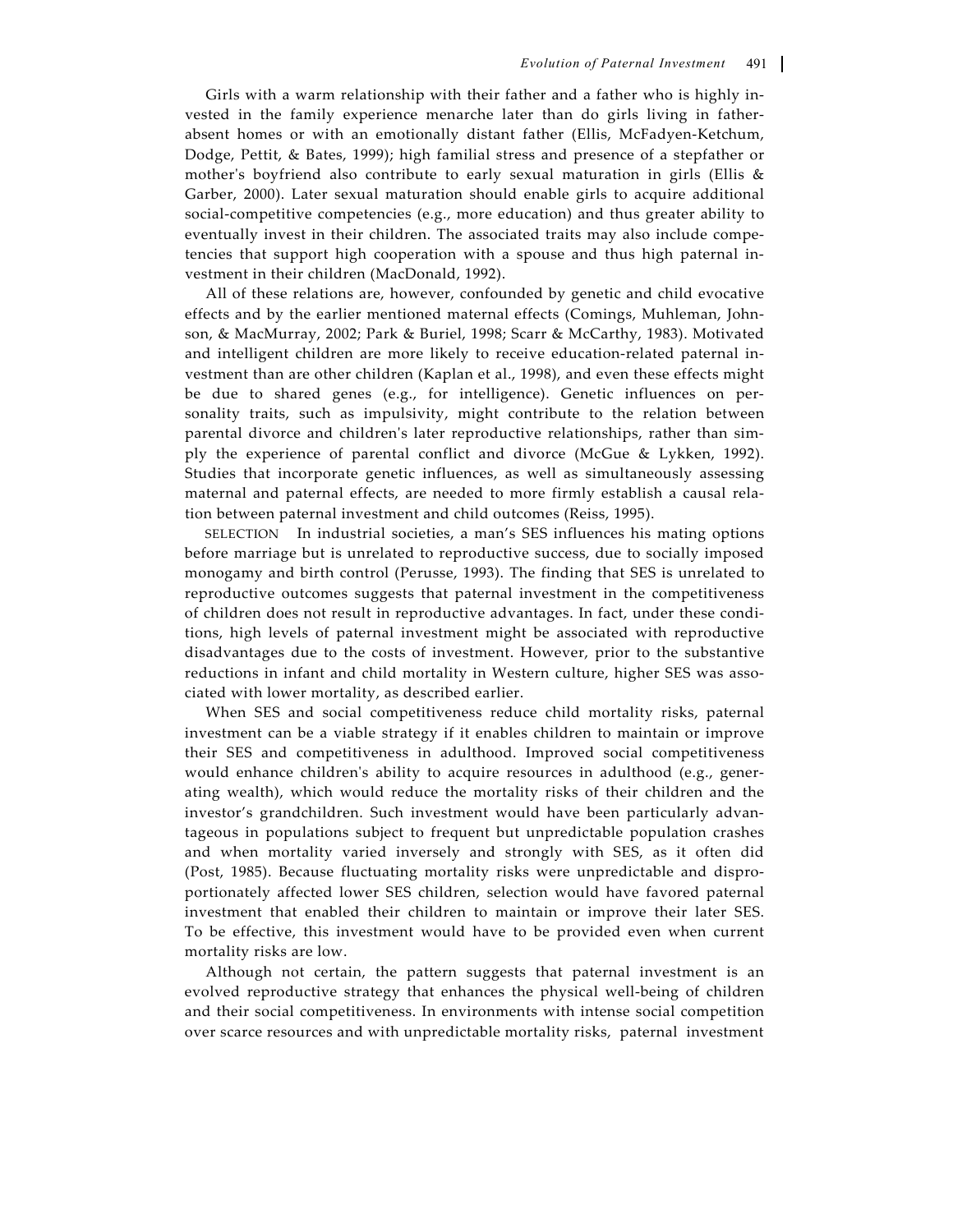Girls with a warm relationship with their father and a father who is highly invested in the family experience menarche later than do girls living in fatherabsent homes or with an emotionally distant father (Ellis, McFadyen-Ketchum, Dodge, Pettit, & Bates, 1999); high familial stress and presence of a stepfather or mother's boyfriend also contribute to early sexual maturation in girls (Ellis  $\&$ Garber, 2000). Later sexual maturation should enable girls to acquire additional social-competitive competencies (e.g., more education) and thus greater ability to eventually invest in their children. The associated traits may also include competencies that support high cooperation with a spouse and thus high paternal investment in their children (MacDonald, 1992).

 All of these relations are, however, confounded by genetic and child evocative effects and by the earlier mentioned maternal effects (Comings, Muhleman, Johnson, & MacMurray, 2002; Park & Buriel, 1998; Scarr & McCarthy, 1983). Motivated and intelligent children are more likely to receive education-related paternal investment than are other children (Kaplan et al., 1998), and even these effects might be due to shared genes (e.g., for intelligence). Genetic influences on personality traits, such as impulsivity, might contribute to the relation between parental divorce and children's later reproductive relationships, rather than simply the experience of parental conflict and divorce (McGue & Lykken, 1992). Studies that incorporate genetic influences, as well as simultaneously assessing maternal and paternal effects, are needed to more firmly establish a causal relation between paternal investment and child outcomes (Reiss, 1995).

 SELECTION In industrial societies, a man's SES influences his mating options before marriage but is unrelated to reproductive success, due to socially imposed monogamy and birth control (Perusse, 1993). The finding that SES is unrelated to reproductive outcomes suggests that paternal investment in the competitiveness of children does not result in reproductive advantages. In fact, under these conditions, high levels of paternal investment might be associated with reproductive disadvantages due to the costs of investment. However, prior to the substantive reductions in infant and child mortality in Western culture, higher SES was associated with lower mortality, as described earlier.

 When SES and social competitiveness reduce child mortality risks, paternal investment can be a viable strategy if it enables children to maintain or improve their SES and competitiveness in adulthood. Improved social competitiveness would enhance children's ability to acquire resources in adulthood (e.g., generating wealth), which would reduce the mortality risks of their children and the investor's grandchildren. Such investment would have been particularly advantageous in populations subject to frequent but unpredictable population crashes and when mortality varied inversely and strongly with SES, as it often did (Post, 1985). Because fluctuating mortality risks were unpredictable and disproportionately affected lower SES children, selection would have favored paternal investment that enabled their children to maintain or improve their later SES. To be effective, this investment would have to be provided even when current mortality risks are low.

 Although not certain, the pattern suggests that paternal investment is an evolved reproductive strategy that enhances the physical well-being of children and their social competitiveness. In environments with intense social competition over scarce resources and with unpredictable mortality risks, paternal investment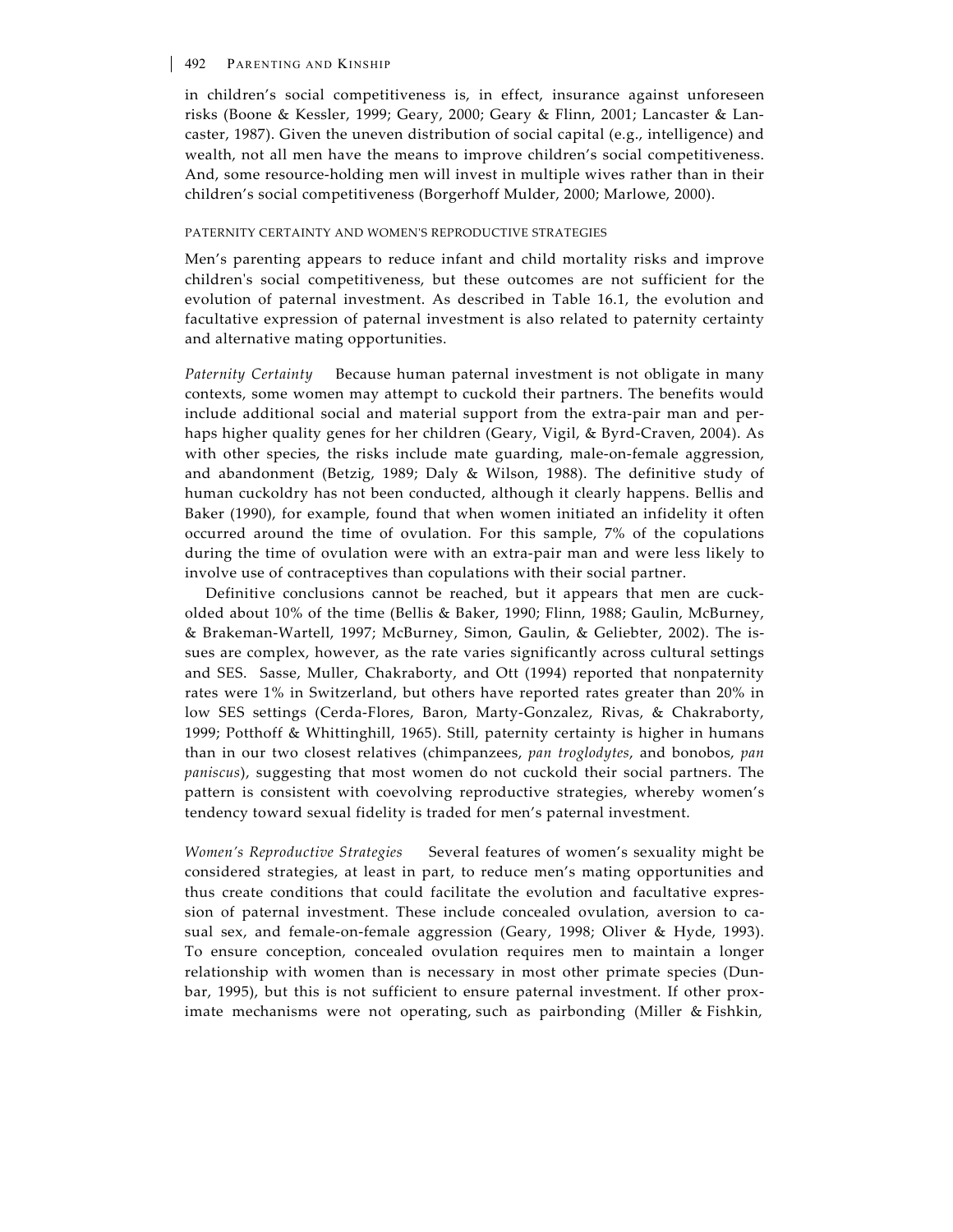in children's social competitiveness is, in effect, insurance against unforeseen risks (Boone & Kessler, 1999; Geary, 2000; Geary & Flinn, 2001; Lancaster & Lancaster, 1987). Given the uneven distribution of social capital (e.g., intelligence) and wealth, not all men have the means to improve children's social competitiveness. And, some resource-holding men will invest in multiple wives rather than in their children's social competitiveness (Borgerhoff Mulder, 2000; Marlowe, 2000).

#### PATERNITY CERTAINTY AND WOMENʹS REPRODUCTIVE STRATEGIES

Men's parenting appears to reduce infant and child mortality risks and improve childrenʹs social competitiveness, but these outcomes are not sufficient for the evolution of paternal investment. As described in Table 16.1, the evolution and facultative expression of paternal investment is also related to paternity certainty and alternative mating opportunities.

*Paternity Certainty* Because human paternal investment is not obligate in many contexts, some women may attempt to cuckold their partners. The benefits would include additional social and material support from the extra-pair man and perhaps higher quality genes for her children (Geary, Vigil, & Byrd-Craven, 2004). As with other species, the risks include mate guarding, male-on-female aggression, and abandonment (Betzig, 1989; Daly & Wilson, 1988). The definitive study of human cuckoldry has not been conducted, although it clearly happens. Bellis and Baker (1990), for example, found that when women initiated an infidelity it often occurred around the time of ovulation. For this sample, 7% of the copulations during the time of ovulation were with an extra-pair man and were less likely to involve use of contraceptives than copulations with their social partner.

 Definitive conclusions cannot be reached, but it appears that men are cuckolded about 10% of the time (Bellis & Baker, 1990; Flinn, 1988; Gaulin, McBurney, & Brakeman-Wartell, 1997; McBurney, Simon, Gaulin, & Geliebter, 2002). The issues are complex, however, as the rate varies significantly across cultural settings and SES. Sasse, Muller, Chakraborty, and Ott (1994) reported that nonpaternity rates were 1% in Switzerland, but others have reported rates greater than 20% in low SES settings (Cerda-Flores, Baron, Marty-Gonzalez, Rivas, & Chakraborty, 1999; Potthoff & Whittinghill, 1965). Still, paternity certainty is higher in humans than in our two closest relatives (chimpanzees, *pan troglodytes*, and bonobos, *pan paniscus*), suggesting that most women do not cuckold their social partners. The pattern is consistent with coevolving reproductive strategies, whereby women's tendency toward sexual fidelity is traded for men's paternal investment.

*Women's Reproductive Strategies* Several features of women's sexuality might be considered strategies, at least in part, to reduce men's mating opportunities and thus create conditions that could facilitate the evolution and facultative expression of paternal investment. These include concealed ovulation, aversion to casual sex, and female-on-female aggression (Geary, 1998; Oliver & Hyde, 1993). To ensure conception, concealed ovulation requires men to maintain a longer relationship with women than is necessary in most other primate species (Dunbar, 1995), but this is not sufficient to ensure paternal investment. If other proximate mechanisms were not operating, such as pairbonding (Miller & Fishkin,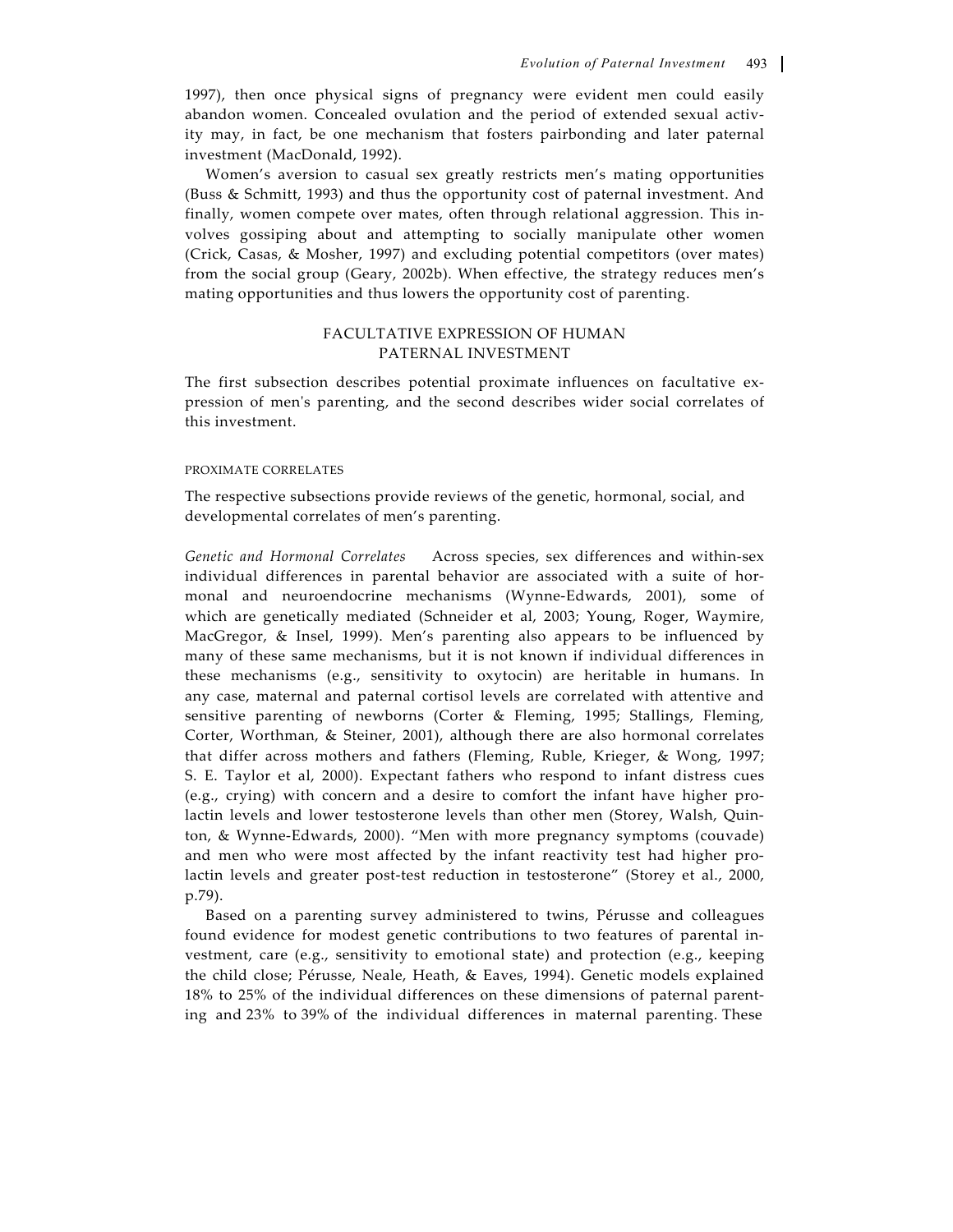1997), then once physical signs of pregnancy were evident men could easily abandon women. Concealed ovulation and the period of extended sexual activity may, in fact, be one mechanism that fosters pairbonding and later paternal investment (MacDonald, 1992).

 Women's aversion to casual sex greatly restricts men's mating opportunities (Buss & Schmitt, 1993) and thus the opportunity cost of paternal investment. And finally, women compete over mates, often through relational aggression. This involves gossiping about and attempting to socially manipulate other women (Crick, Casas, & Mosher, 1997) and excluding potential competitors (over mates) from the social group (Geary, 2002b). When effective, the strategy reduces men's mating opportunities and thus lowers the opportunity cost of parenting.

# FACULTATIVE EXPRESSION OF HUMAN PATERNAL INVESTMENT

The first subsection describes potential proximate influences on facultative expression of men's parenting, and the second describes wider social correlates of this investment.

# PROXIMATE CORRELATES

The respective subsections provide reviews of the genetic, hormonal, social, and developmental correlates of men's parenting.

*Genetic and Hormonal Correlates* Across species, sex differences and within-sex individual differences in parental behavior are associated with a suite of hormonal and neuroendocrine mechanisms (Wynne-Edwards, 2001), some of which are genetically mediated (Schneider et al, 2003; Young, Roger, Waymire, MacGregor, & Insel, 1999). Men's parenting also appears to be influenced by many of these same mechanisms, but it is not known if individual differences in these mechanisms (e.g., sensitivity to oxytocin) are heritable in humans. In any case, maternal and paternal cortisol levels are correlated with attentive and sensitive parenting of newborns (Corter & Fleming, 1995; Stallings, Fleming, Corter, Worthman, & Steiner, 2001), although there are also hormonal correlates that differ across mothers and fathers (Fleming, Ruble, Krieger, & Wong, 1997; S. E. Taylor et al, 2000). Expectant fathers who respond to infant distress cues (e.g., crying) with concern and a desire to comfort the infant have higher prolactin levels and lower testosterone levels than other men (Storey, Walsh, Quinton, & Wynne-Edwards, 2000). "Men with more pregnancy symptoms (couvade) and men who were most affected by the infant reactivity test had higher prolactin levels and greater post-test reduction in testosterone" (Storey et al., 2000, p.79).

 Based on a parenting survey administered to twins, Pérusse and colleagues found evidence for modest genetic contributions to two features of parental investment, care (e.g., sensitivity to emotional state) and protection (e.g., keeping the child close; Pérusse, Neale, Heath, & Eaves, 1994). Genetic models explained 18% to 25% of the individual differences on these dimensions of paternal parenting and 23% to 39% of the individual differences in maternal parenting. These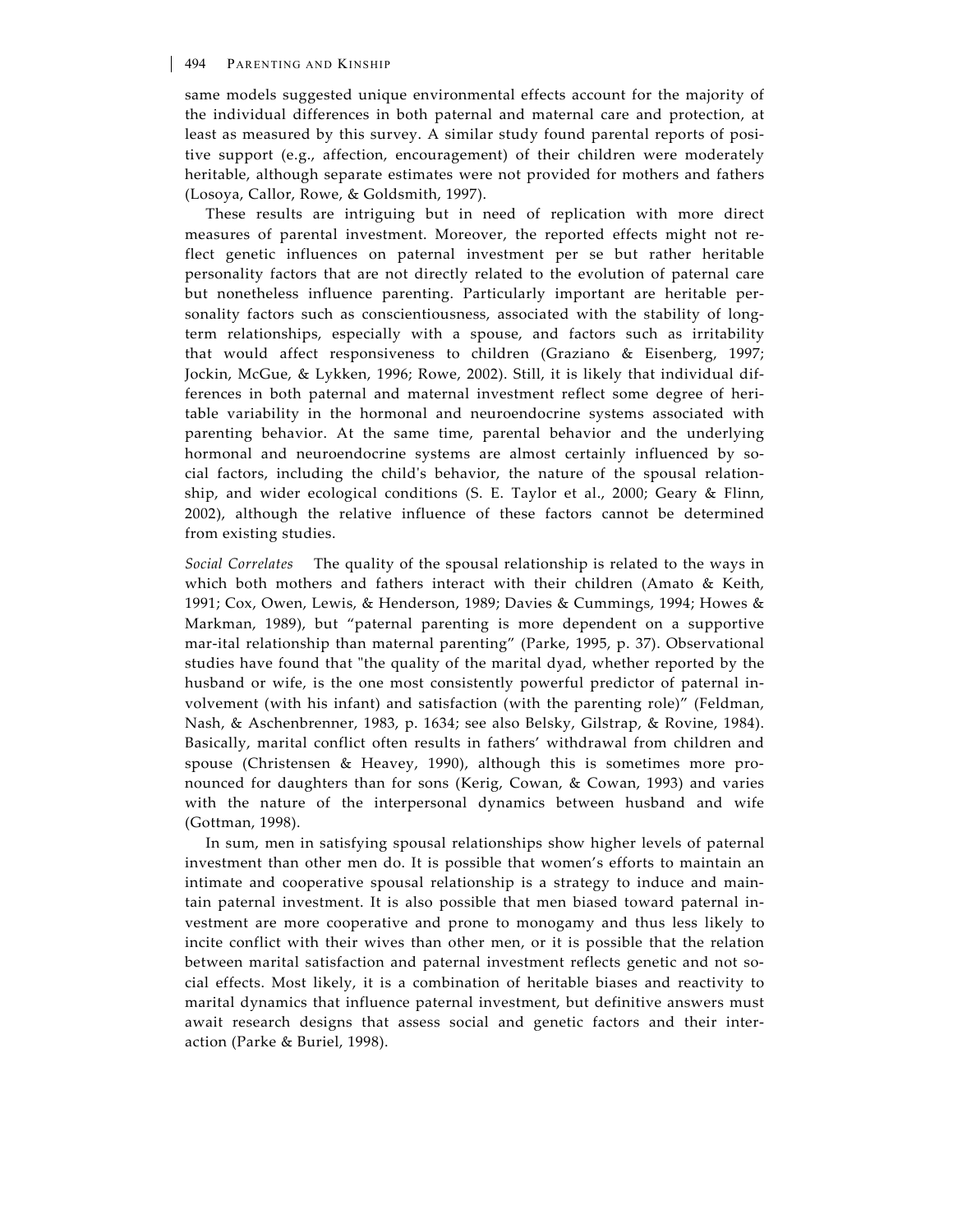same models suggested unique environmental effects account for the majority of the individual differences in both paternal and maternal care and protection, at least as measured by this survey. A similar study found parental reports of positive support (e.g., affection, encouragement) of their children were moderately heritable, although separate estimates were not provided for mothers and fathers (Losoya, Callor, Rowe, & Goldsmith, 1997).

 These results are intriguing but in need of replication with more direct measures of parental investment. Moreover, the reported effects might not reflect genetic influences on paternal investment per se but rather heritable personality factors that are not directly related to the evolution of paternal care but nonetheless influence parenting. Particularly important are heritable personality factors such as conscientiousness, associated with the stability of longterm relationships, especially with a spouse, and factors such as irritability that would affect responsiveness to children (Graziano & Eisenberg, 1997; Jockin, McGue, & Lykken, 1996; Rowe, 2002). Still, it is likely that individual differences in both paternal and maternal investment reflect some degree of heritable variability in the hormonal and neuroendocrine systems associated with parenting behavior. At the same time, parental behavior and the underlying hormonal and neuroendocrine systems are almost certainly influenced by social factors, including the childʹs behavior, the nature of the spousal relationship, and wider ecological conditions (S. E. Taylor et al., 2000; Geary & Flinn, 2002), although the relative influence of these factors cannot be determined from existing studies.

*Social Correlates* The quality of the spousal relationship is related to the ways in which both mothers and fathers interact with their children (Amato & Keith, 1991; Cox, Owen, Lewis, & Henderson, 1989; Davies & Cummings, 1994; Howes & Markman, 1989), but "paternal parenting is more dependent on a supportive mar-ital relationship than maternal parenting" (Parke, 1995, p. 37). Observational studies have found that "the quality of the marital dyad, whether reported by the husband or wife, is the one most consistently powerful predictor of paternal involvement (with his infant) and satisfaction (with the parenting role)" (Feldman, Nash, & Aschenbrenner, 1983, p. 1634; see also Belsky, Gilstrap, & Rovine, 1984). Basically, marital conflict often results in fathers' withdrawal from children and spouse (Christensen & Heavey, 1990), although this is sometimes more pronounced for daughters than for sons (Kerig, Cowan, & Cowan, 1993) and varies with the nature of the interpersonal dynamics between husband and wife (Gottman, 1998).

 In sum, men in satisfying spousal relationships show higher levels of paternal investment than other men do. It is possible that women's efforts to maintain an intimate and cooperative spousal relationship is a strategy to induce and maintain paternal investment. It is also possible that men biased toward paternal investment are more cooperative and prone to monogamy and thus less likely to incite conflict with their wives than other men, or it is possible that the relation between marital satisfaction and paternal investment reflects genetic and not social effects. Most likely, it is a combination of heritable biases and reactivity to marital dynamics that influence paternal investment, but definitive answers must await research designs that assess social and genetic factors and their interaction (Parke & Buriel, 1998).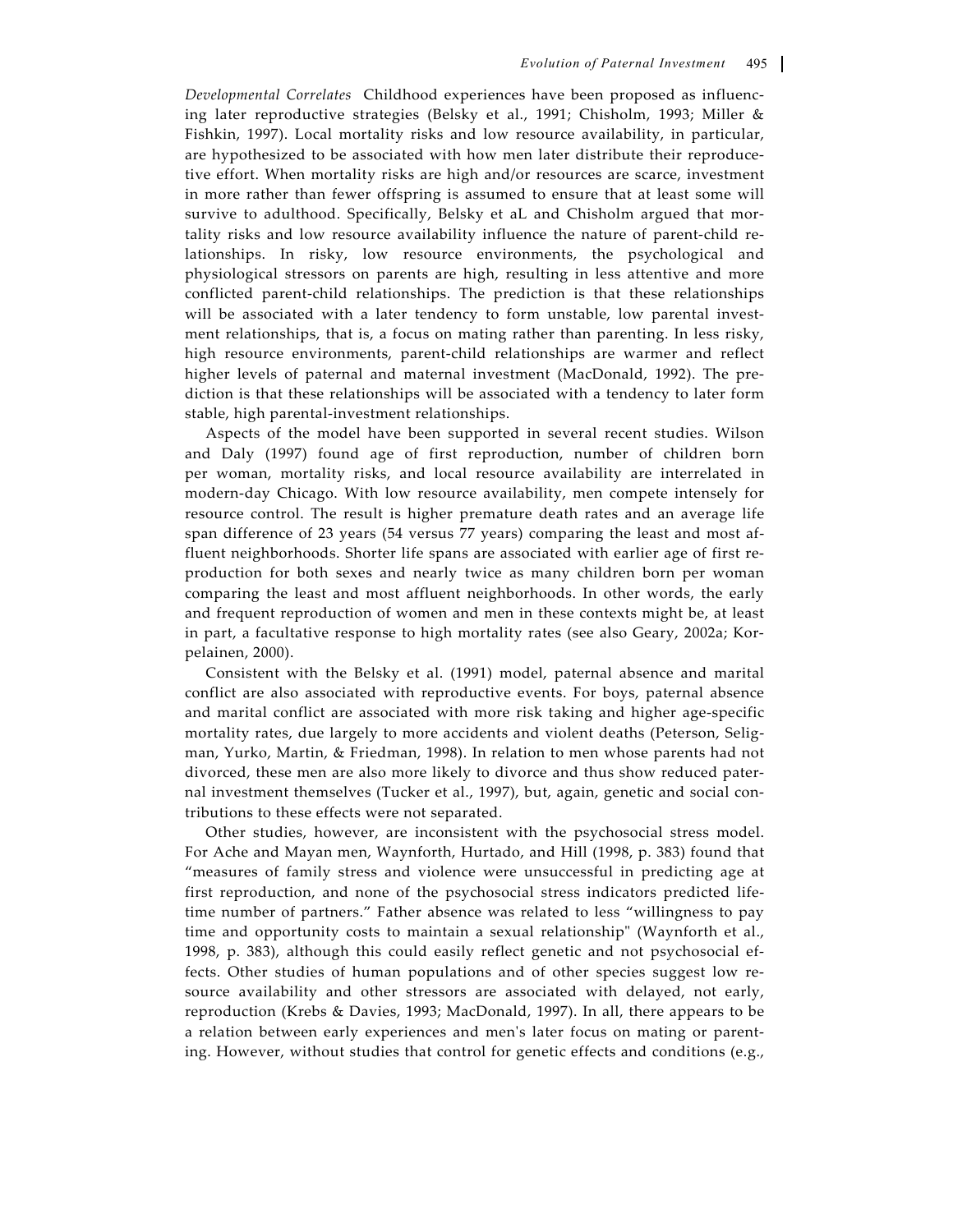*Developmental Correlates* Childhood experiences have been proposed as influencing later reproductive strategies (Belsky et al., 1991; Chisholm, 1993; Miller & Fishkin, 1997). Local mortality risks and low resource availability, in particular, are hypothesized to be associated with how men later distribute their reproducetive effort. When mortality risks are high and/or resources are scarce, investment in more rather than fewer offspring is assumed to ensure that at least some will survive to adulthood. Specifically, Belsky et aL and Chisholm argued that mortality risks and low resource availability influence the nature of parent-child relationships. In risky, low resource environments, the psychological and physiological stressors on parents are high, resulting in less attentive and more conflicted parent-child relationships. The prediction is that these relationships will be associated with a later tendency to form unstable, low parental investment relationships, that is, a focus on mating rather than parenting. In less risky, high resource environments, parent-child relationships are warmer and reflect higher levels of paternal and maternal investment (MacDonald, 1992). The prediction is that these relationships will be associated with a tendency to later form stable, high parental-investment relationships.

 Aspects of the model have been supported in several recent studies. Wilson and Daly (1997) found age of first reproduction, number of children born per woman, mortality risks, and local resource availability are interrelated in modern-day Chicago. With low resource availability, men compete intensely for resource control. The result is higher premature death rates and an average life span difference of 23 years (54 versus 77 years) comparing the least and most affluent neighborhoods. Shorter life spans are associated with earlier age of first reproduction for both sexes and nearly twice as many children born per woman comparing the least and most affluent neighborhoods. In other words, the early and frequent reproduction of women and men in these contexts might be, at least in part, a facultative response to high mortality rates (see also Geary, 2002a; Korpelainen, 2000).

 Consistent with the Belsky et al. (1991) model, paternal absence and marital conflict are also associated with reproductive events. For boys, paternal absence and marital conflict are associated with more risk taking and higher age-specific mortality rates, due largely to more accidents and violent deaths (Peterson, Seligman, Yurko, Martin, & Friedman, 1998). In relation to men whose parents had not divorced, these men are also more likely to divorce and thus show reduced paternal investment themselves (Tucker et al., 1997), but, again, genetic and social contributions to these effects were not separated.

 Other studies, however, are inconsistent with the psychosocial stress model. For Ache and Mayan men, Waynforth, Hurtado, and Hill (1998, p. 383) found that "measures of family stress and violence were unsuccessful in predicting age at first reproduction, and none of the psychosocial stress indicators predicted lifetime number of partners." Father absence was related to less "willingness to pay time and opportunity costs to maintain a sexual relationship" (Waynforth et al., 1998, p. 383), although this could easily reflect genetic and not psychosocial effects. Other studies of human populations and of other species suggest low resource availability and other stressors are associated with delayed, not early, reproduction (Krebs & Davies, 1993; MacDonald, 1997). In all, there appears to be a relation between early experiences and menʹs later focus on mating or parenting. However, without studies that control for genetic effects and conditions (e.g.,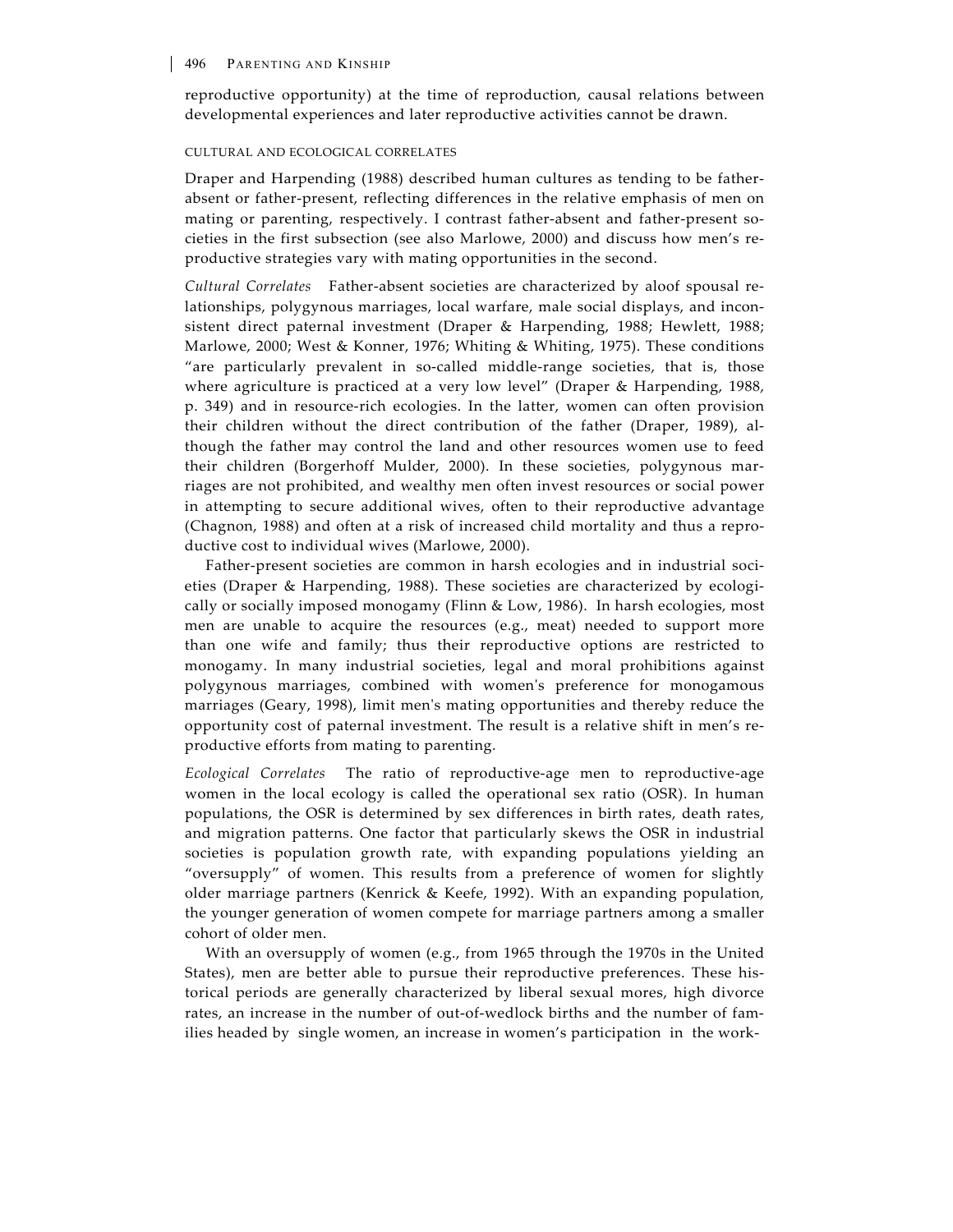reproductive opportunity) at the time of reproduction, causal relations between developmental experiences and later reproductive activities cannot be drawn.

# CULTURAL AND ECOLOGICAL CORRELATES

Draper and Harpending (1988) described human cultures as tending to be fatherabsent or father-present, reflecting differences in the relative emphasis of men on mating or parenting, respectively. I contrast father-absent and father-present societies in the first subsection (see also Marlowe, 2000) and discuss how men's reproductive strategies vary with mating opportunities in the second.

*Cultural Correlates* Father-absent societies are characterized by aloof spousal relationships, polygynous marriages, local warfare, male social displays, and inconsistent direct paternal investment (Draper & Harpending, 1988; Hewlett, 1988; Marlowe, 2000; West & Konner, 1976; Whiting & Whiting, 1975). These conditions "are particularly prevalent in so-called middle-range societies, that is, those where agriculture is practiced at a very low level" (Draper & Harpending, 1988, p. 349) and in resource-rich ecologies. In the latter, women can often provision their children without the direct contribution of the father (Draper, 1989), although the father may control the land and other resources women use to feed their children (Borgerhoff Mulder, 2000). In these societies, polygynous marriages are not prohibited, and wealthy men often invest resources or social power in attempting to secure additional wives, often to their reproductive advantage (Chagnon, 1988) and often at a risk of increased child mortality and thus a reproductive cost to individual wives (Marlowe, 2000).

 Father-present societies are common in harsh ecologies and in industrial societies (Draper & Harpending, 1988). These societies are characterized by ecologically or socially imposed monogamy (Flinn & Low, 1986). In harsh ecologies, most men are unable to acquire the resources (e.g., meat) needed to support more than one wife and family; thus their reproductive options are restricted to monogamy. In many industrial societies, legal and moral prohibitions against polygynous marriages, combined with womenʹs preference for monogamous marriages (Geary, 1998), limit menʹs mating opportunities and thereby reduce the opportunity cost of paternal investment. The result is a relative shift in men's reproductive efforts from mating to parenting.

*Ecological Correlates* The ratio of reproductive-age men to reproductive-age women in the local ecology is called the operational sex ratio (OSR). In human populations, the OSR is determined by sex differences in birth rates, death rates, and migration patterns. One factor that particularly skews the OSR in industrial societies is population growth rate, with expanding populations yielding an "oversupply" of women. This results from a preference of women for slightly older marriage partners (Kenrick & Keefe, 1992). With an expanding population, the younger generation of women compete for marriage partners among a smaller cohort of older men.

 With an oversupply of women (e.g., from 1965 through the 1970s in the United States), men are better able to pursue their reproductive preferences. These historical periods are generally characterized by liberal sexual mores, high divorce rates, an increase in the number of out-of-wedlock births and the number of families headed by single women, an increase in women's participation in the work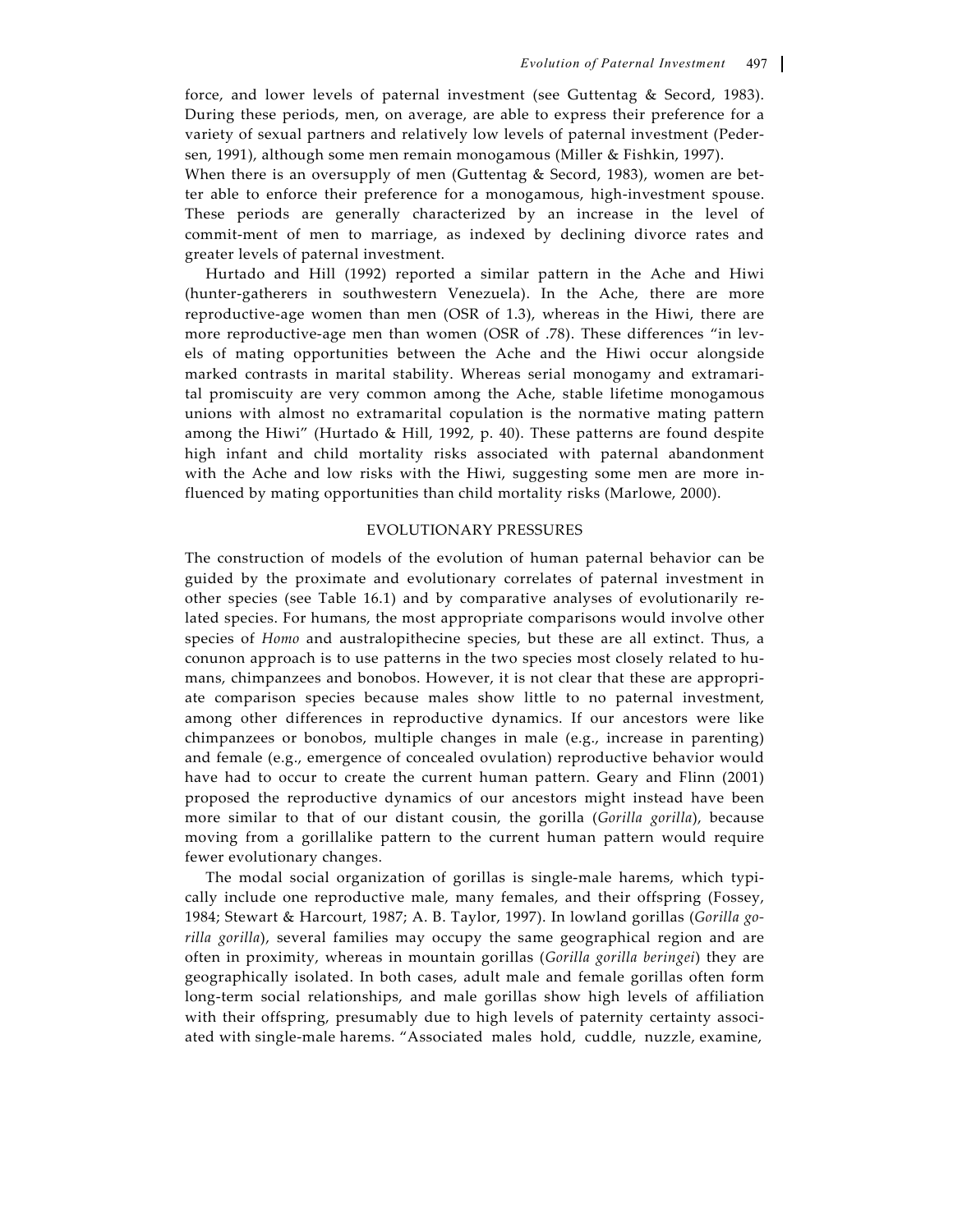force, and lower levels of paternal investment (see Guttentag & Secord, 1983). During these periods, men, on average, are able to express their preference for a variety of sexual partners and relatively low levels of paternal investment (Pedersen, 1991), although some men remain monogamous (Miller & Fishkin, 1997).

When there is an oversupply of men (Guttentag & Secord, 1983), women are better able to enforce their preference for a monogamous, high-investment spouse. These periods are generally characterized by an increase in the level of commit-ment of men to marriage, as indexed by declining divorce rates and greater levels of paternal investment.

 Hurtado and Hill (1992) reported a similar pattern in the Ache and Hiwi (hunter-gatherers in southwestern Venezuela). In the Ache, there are more reproductive-age women than men (OSR of 1.3), whereas in the Hiwi, there are more reproductive-age men than women (OSR of .78). These differences "in levels of mating opportunities between the Ache and the Hiwi occur alongside marked contrasts in marital stability. Whereas serial monogamy and extramarital promiscuity are very common among the Ache, stable lifetime monogamous unions with almost no extramarital copulation is the normative mating pattern among the Hiwi" (Hurtado & Hill, 1992, p. 40). These patterns are found despite high infant and child mortality risks associated with paternal abandonment with the Ache and low risks with the Hiwi, suggesting some men are more influenced by mating opportunities than child mortality risks (Marlowe, 2000).

## EVOLUTIONARY PRESSURES

The construction of models of the evolution of human paternal behavior can be guided by the proximate and evolutionary correlates of paternal investment in other species (see Table 16.1) and by comparative analyses of evolutionarily related species. For humans, the most appropriate comparisons would involve other species of *Homo* and australopithecine species, but these are all extinct. Thus, a conunon approach is to use patterns in the two species most closely related to humans, chimpanzees and bonobos. However, it is not clear that these are appropriate comparison species because males show little to no paternal investment, among other differences in reproductive dynamics. If our ancestors were like chimpanzees or bonobos, multiple changes in male (e.g., increase in parenting) and female (e.g., emergence of concealed ovulation) reproductive behavior would have had to occur to create the current human pattern. Geary and Flinn (2001) proposed the reproductive dynamics of our ancestors might instead have been more similar to that of our distant cousin, the gorilla (*Gorilla gorilla*), because moving from a gorillalike pattern to the current human pattern would require fewer evolutionary changes.

 The modal social organization of gorillas is single-male harems, which typically include one reproductive male, many females, and their offspring (Fossey, 1984; Stewart & Harcourt, 1987; A. B. Taylor, 1997). In lowland gorillas (*Gorilla gorilla gorilla*), several families may occupy the same geographical region and are often in proximity, whereas in mountain gorillas (*Gorilla gorilla beringei*) they are geographically isolated. In both cases, adult male and female gorillas often form long-term social relationships, and male gorillas show high levels of affiliation with their offspring, presumably due to high levels of paternity certainty associated with single-male harems. "Associated males hold, cuddle, nuzzle, examine,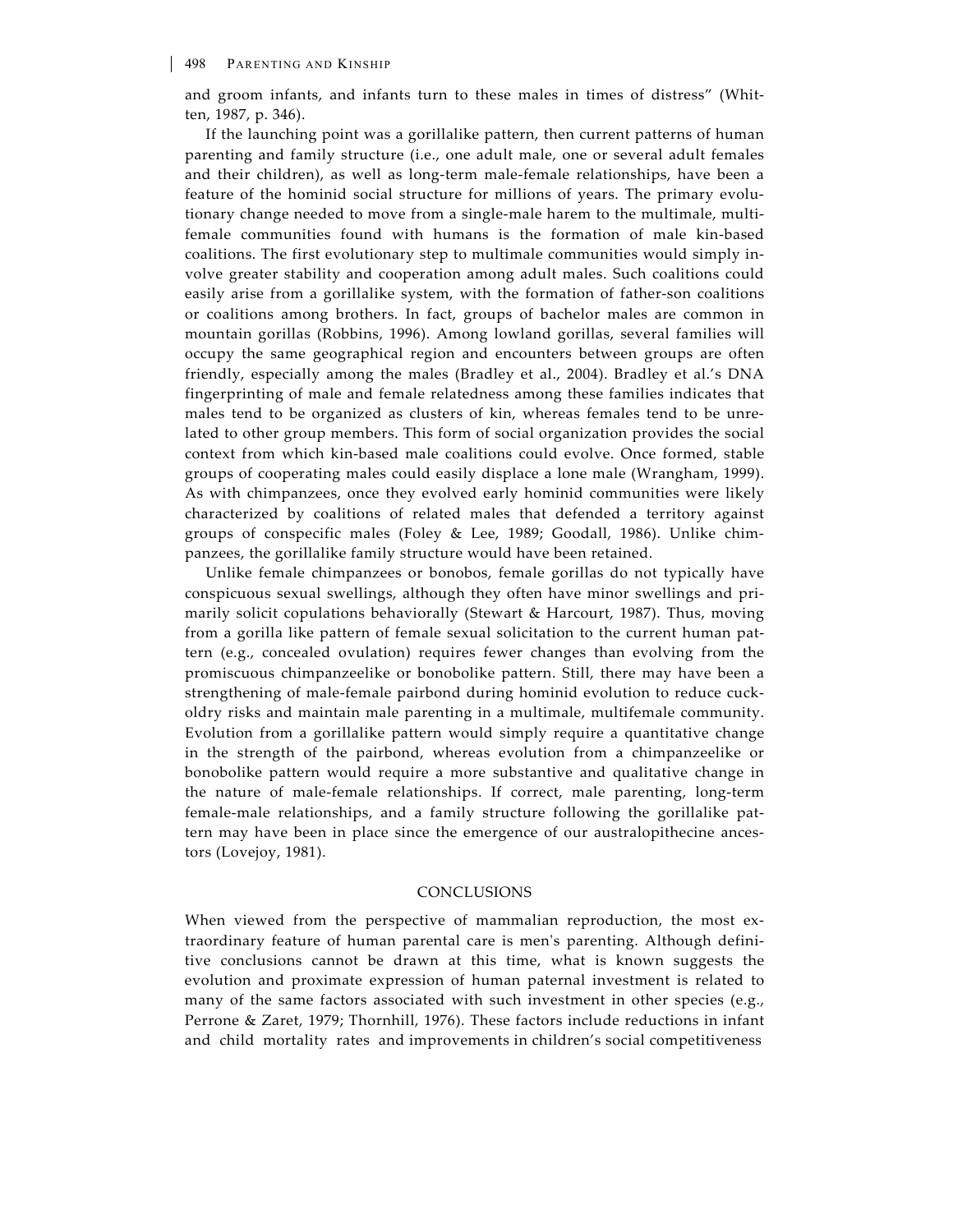and groom infants, and infants turn to these males in times of distress" (Whitten, 1987, p. 346).

 If the launching point was a gorillalike pattern, then current patterns of human parenting and family structure (i.e., one adult male, one or several adult females and their children), as well as long-term male-female relationships, have been a feature of the hominid social structure for millions of years. The primary evolutionary change needed to move from a single-male harem to the multimale, multifemale communities found with humans is the formation of male kin-based coalitions. The first evolutionary step to multimale communities would simply involve greater stability and cooperation among adult males. Such coalitions could easily arise from a gorillalike system, with the formation of father-son coalitions or coalitions among brothers. In fact, groups of bachelor males are common in mountain gorillas (Robbins, 1996). Among lowland gorillas, several families will occupy the same geographical region and encounters between groups are often friendly, especially among the males (Bradley et al., 2004). Bradley et al.'s DNA fingerprinting of male and female relatedness among these families indicates that males tend to be organized as clusters of kin, whereas females tend to be unrelated to other group members. This form of social organization provides the social context from which kin-based male coalitions could evolve. Once formed, stable groups of cooperating males could easily displace a lone male (Wrangham, 1999). As with chimpanzees, once they evolved early hominid communities were likely characterized by coalitions of related males that defended a territory against groups of conspecific males (Foley & Lee, 1989; Goodall, 1986). Unlike chimpanzees, the gorillalike family structure would have been retained.

 Unlike female chimpanzees or bonobos, female gorillas do not typically have conspicuous sexual swellings, although they often have minor swellings and primarily solicit copulations behaviorally (Stewart & Harcourt, 1987). Thus, moving from a gorilla like pattern of female sexual solicitation to the current human pattern (e.g., concealed ovulation) requires fewer changes than evolving from the promiscuous chimpanzeelike or bonobolike pattern. Still, there may have been a strengthening of male-female pairbond during hominid evolution to reduce cuckoldry risks and maintain male parenting in a multimale, multifemale community. Evolution from a gorillalike pattern would simply require a quantitative change in the strength of the pairbond, whereas evolution from a chimpanzeelike or bonobolike pattern would require a more substantive and qualitative change in the nature of male-female relationships. If correct, male parenting, long-term female-male relationships, and a family structure following the gorillalike pattern may have been in place since the emergence of our australopithecine ancestors (Lovejoy, 1981).

#### CONCLUSIONS

When viewed from the perspective of mammalian reproduction, the most extraordinary feature of human parental care is menʹs parenting. Although definitive conclusions cannot be drawn at this time, what is known suggests the evolution and proximate expression of human paternal investment is related to many of the same factors associated with such investment in other species (e.g., Perrone & Zaret, 1979; Thornhill, 1976). These factors include reductions in infant and child mortality rates and improvements in children's social competitiveness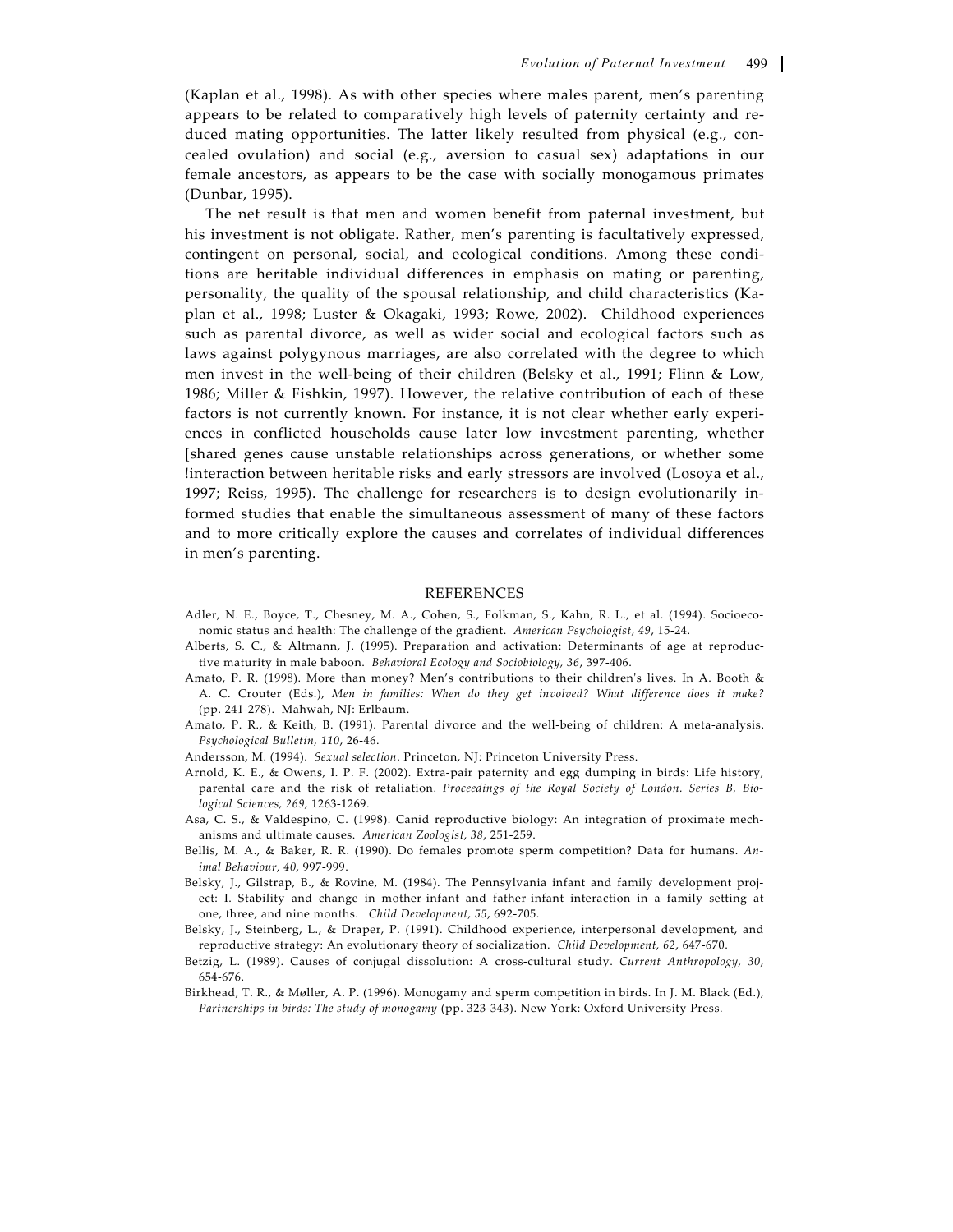(Kaplan et al., 1998). As with other species where males parent, men's parenting appears to be related to comparatively high levels of paternity certainty and reduced mating opportunities. The latter likely resulted from physical (e.g., concealed ovulation) and social (e.g., aversion to casual sex) adaptations in our female ancestors, as appears to be the case with socially monogamous primates (Dunbar, 1995).

 The net result is that men and women benefit from paternal investment, but his investment is not obligate. Rather, men's parenting is facultatively expressed, contingent on personal, social, and ecological conditions. Among these conditions are heritable individual differences in emphasis on mating or parenting, personality, the quality of the spousal relationship, and child characteristics (Kaplan et al., 1998; Luster & Okagaki, 1993; Rowe, 2002). Childhood experiences such as parental divorce, as well as wider social and ecological factors such as laws against polygynous marriages, are also correlated with the degree to which men invest in the well-being of their children (Belsky et al., 1991; Flinn & Low, 1986; Miller & Fishkin, 1997). However, the relative contribution of each of these factors is not currently known. For instance, it is not clear whether early experiences in conflicted households cause later low investment parenting, whether [shared genes cause unstable relationships across generations, or whether some !interaction between heritable risks and early stressors are involved (Losoya et al., 1997; Reiss, 1995). The challenge for researchers is to design evolutionarily informed studies that enable the simultaneous assessment of many of these factors and to more critically explore the causes and correlates of individual differences in men's parenting.

#### REFERENCES

- Adler, N. E., Boyce, T., Chesney, M. A., Cohen, S., Folkman, S., Kahn, R. L., et al. (1994). Socioeconomic status and health: The challenge of the gradient. *American Psychologist, 49*, 15-24.
- Alberts, S. C., & Altmann, J. (1995). Preparation and activation: Determinants of age at reproductive maturity in male baboon. *Behavioral Ecology and Sociobiology, 36*, 397-406.
- Amato, P. R. (1998). More than money? Men's contributions to their children's lives. In A. Booth & A. C. Crouter (Eds.), *Men in families: When do they get involved? What difference does it make?* (pp. 241-278). Mahwah, NJ: Erlbaum.
- Amato, P. R., & Keith, B. (1991). Parental divorce and the well-being of children: A meta-analysis. *Psychological Bulletin, 110*, 26-46.
- Andersson, M. (1994). *Sexual selection*. Princeton, NJ: Princeton University Press.
- Arnold, K. E., & Owens, I. P. F. (2002). Extra-pair paternity and egg dumping in birds: Life history, parental care and the risk of retaliation. *Proceedings of the Royal Society of London. Series B, Biological Sciences, 269,* 1263-1269.
- Asa, C. S., & Valdespino, C. (1998). Canid reproductive biology: An integration of proximate mechanisms and ultimate causes. *American Zoologist, 38*, 251-259.
- Bellis, M. A., & Baker, R. R. (1990). Do females promote sperm competition? Data for humans. *Animal Behaviour, 40,* 997-999.
- Belsky, J., Gilstrap, B., & Rovine, M. (1984). The Pennsylvania infant and family development project: I. Stability and change in mother-infant and father-infant interaction in a family setting at one, three, and nine months. *Child Development, 55*, 692-705.
- Belsky, J., Steinberg, L., & Draper, P. (1991). Childhood experience, interpersonal development, and reproductive strategy: An evolutionary theory of socialization. *Child Development, 62*, 647-670.
- Betzig, L. (1989). Causes of conjugal dissolution: A cross-cultural study. *Current Anthropology, 30*, 654-676.
- Birkhead, T. R., & Møller, A. P. (1996). Monogamy and sperm competition in birds. In J. M. Black (Ed.), *Partnerships in birds: The study of monogamy* (pp. 323-343). New York: Oxford University Press.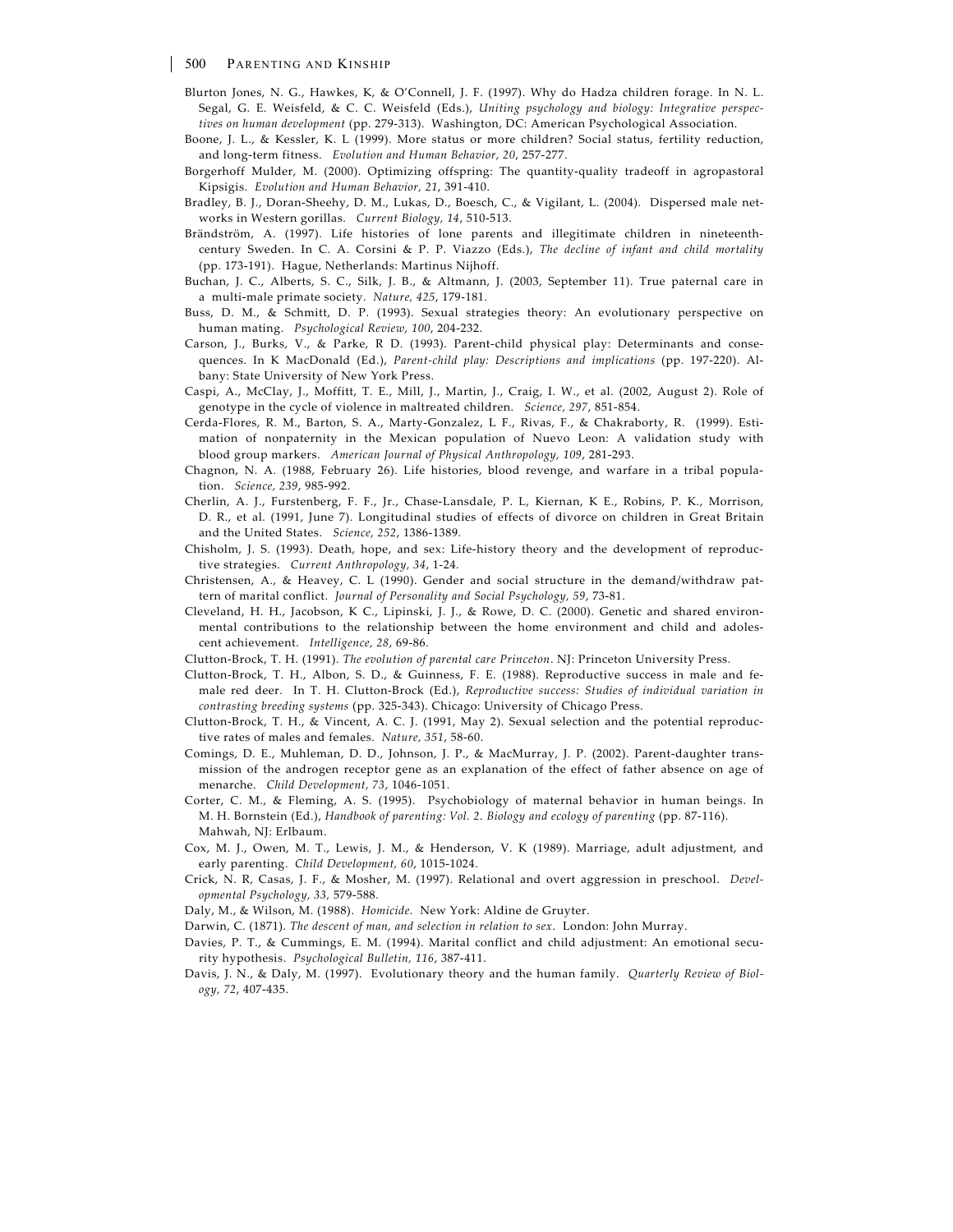Blurton Jones, N. G., Hawkes, K, & O'Connell, J. F. (1997). Why do Hadza children forage. In N. L. Segal, G. E. Weisfeld, & C. C. Weisfeld (Eds.), *Uniting psychology and biology: Integrative perspectives on human development* (pp. 279-313). Washington, DC: American Psychological Association.

Boone, J. L., & Kessler, K. L (1999). More status or more children? Social status, fertility reduction, and long-term fitness. *Evolution and Human Behavior, 20*, 257-277.

- Borgerhoff Mulder, M. (2000). Optimizing offspring: The quantity-quality tradeoff in agropastoral Kipsigis. *Evolution and Human Behavior, 21*, 391-410.
- Bradley, B. J., Doran-Sheehy, D. M., Lukas, D., Boesch, C., & Vigilant, L. (2004). Dispersed male networks in Western gorillas. *Current Biology, 14*, 510-513.
- Brändström, A. (1997). Life histories of lone parents and illegitimate children in nineteenthcentury Sweden. In C. A. Corsini & P. P. Viazzo (Eds.), *The decline of infant and child mortality*  (pp. 173-191). Hague, Netherlands: Martinus Nijhoff.
- Buchan, J. C., Alberts, S. C., Silk, J. B., & Altmann, J. (2003, September 11). True paternal care in a multi-male primate society. *Nature, 425*, 179-181.
- Buss, D. M., & Schmitt, D. P. (1993). Sexual strategies theory: An evolutionary perspective on human mating. *Psychological Review, 100*, 204-232.
- Carson, J., Burks, V., & Parke, R D. (1993). Parent-child physical play: Determinants and consequences. In K MacDonald (Ed.), *Parent-child play: Descriptions and implications* (pp. 197-220). Albany: State University of New York Press.
- Caspi, A., McClay, J., Moffitt, T. E., Mill, J., Martin, J., Craig, I. W., et al. (2002, August 2). Role of genotype in the cycle of violence in maltreated children. *Science, 297*, 851-854.
- Cerda-Flores, R. M., Barton, S. A., Marty-Gonzalez, L F., Rivas, F., & Chakraborty, R. (1999). Estimation of nonpaternity in the Mexican population of Nuevo Leon: A validation study with blood group markers. *American Journal of Physical Anthropology, 109*, 281-293.
- Chagnon, N. A. (1988, February 26). Life histories, blood revenge, and warfare in a tribal population. *Science, 239*, 985-992.
- Cherlin, A. J., Furstenberg, F. F., Jr., Chase-Lansdale, P. L, Kiernan, K E., Robins, P. K., Morrison, D. R., et al. (1991, June 7). Longitudinal studies of effects of divorce on children in Great Britain and the United States. *Science, 252*, 1386-1389.
- Chisholm, J. S. (1993). Death, hope, and sex: Life-history theory and the development of reproductive strategies. *Current Anthropology, 34*, 1-24.
- Christensen, A., & Heavey, C. L (1990). Gender and social structure in the demand/withdraw pattern of marital conflict. *Journal of Personality and Social Psychology, 59*, 73-81.
- Cleveland, H. H., Jacobson, K C., Lipinski, J. J., & Rowe, D. C. (2000). Genetic and shared environmental contributions to the relationship between the home environment and child and adolescent achievement. *Intelligence, 28*, 69-86.
- Clutton-Brock, T. H. (1991). *The evolution of parental care Princeton*. NJ: Princeton University Press.
- Clutton-Brock, T. H., Albon, S. D., & Guinness, F. E. (1988). Reproductive success in male and female red deer. In T. H. Clutton-Brock (Ed.), *Reproductive success: Studies of individual variation in contrasting breeding systems* (pp. 325-343). Chicago: University of Chicago Press.
- Clutton-Brock, T. H., & Vincent, A. C. J. (1991, May 2). Sexual selection and the potential reproductive rates of males and females. *Nature, 351*, 58-60.
- Comings, D. E., Muhleman, D. D., Johnson, J. P., & MacMurray, J. P. (2002). Parent-daughter transmission of the androgen receptor gene as an explanation of the effect of father absence on age of menarche. *Child Development, 73*, 1046-1051.
- Corter, C. M., & Fleming, A. S. (1995). Psychobiology of maternal behavior in human beings. In M. H. Bornstein (Ed.), *Handbook of parenting: Vol. 2. Biology and ecology of parenting* (pp. 87-116). Mahwah, NJ: Erlbaum.
- Cox, M. J., Owen, M. T., Lewis, J. M., & Henderson, V. K (1989). Marriage, adult adjustment, and early parenting. *Child Development, 60*, 1015-1024.
- Crick, N. R, Casas, J. F., & Mosher, M. (1997). Relational and overt aggression in preschool. *Developmental Psychology, 33,* 579-588.
- Daly, M., & Wilson, M. (1988). *Homicide.* New York: Aldine de Gruyter.
- Darwin, C. (1871). *The descent of man, and selection in relation to sex*. London: John Murray.
- Davies, P. T., & Cummings, E. M. (1994). Marital conflict and child adjustment: An emotional security hypothesis. *Psychological Bulletin, 116*, 387-411.
- Davis, J. N., & Daly, M. (1997). Evolutionary theory and the human family. *Quarterly Review of Biology, 72*, 407-435.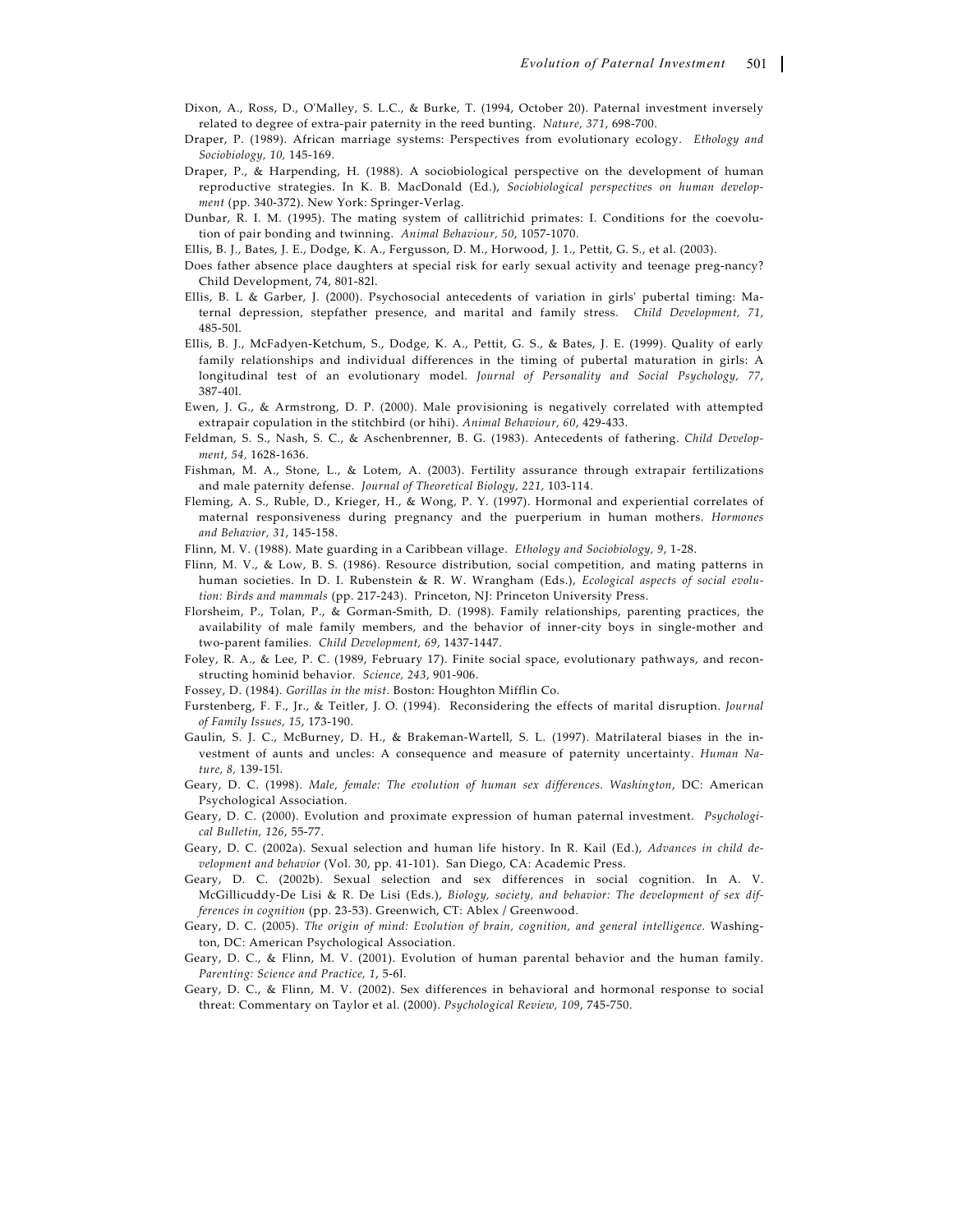- Dixon, A., Ross, D., OʹMalley, S. L.C., & Burke, T. (1994, October 20). Paternal investment inversely related to degree of extra-pair paternity in the reed bunting. *Nature, 371*, 698-700.
- Draper, P. (1989). African marriage systems: Perspectives from evolutionary ecology. *Ethology and Sociobiology, 10,* 145-169.
- Draper, P., & Harpending, H. (1988). A sociobiological perspective on the development of human reproductive strategies. In K. B. MacDonald (Ed.), *Sociobiological perspectives on human development* (pp. 340-372). New York: Springer-Verlag.
- Dunbar, R. I. M. (1995). The mating system of callitrichid primates: I. Conditions for the coevolution of pair bonding and twinning. *Animal Behaviour, 50*, 1057-1070.
- Ellis, B. J., Bates, J. E., Dodge, K. A., Fergusson, D. M., Horwood, J. 1., Pettit, G. S., et al. (2003).
- Does father absence place daughters at special risk for early sexual activity and teenage preg-nancy? Child Development, 74, 801-82l.
- Ellis, B. L & Garber, J. (2000). Psychosocial antecedents of variation in girlsʹ pubertal timing: Maternal depression, stepfather presence, and marital and family stress. *Child Development, 71*, 485-50l.
- Ellis, B. J., McFadyen-Ketchum, S., Dodge, K. A., Pettit, G. S., & Bates, J. E. (1999). Quality of early family relationships and individual differences in the timing of pubertal maturation in girls: A longitudinal test of an evolutionary model. *Journal of Personality and Social Psychology, 77*, 387-40l.
- Ewen, J. G., & Armstrong, D. P. (2000). Male provisioning is negatively correlated with attempted extrapair copulation in the stitchbird (or hihi). *Animal Behaviour, 60*, 429-433.
- Feldman, S. S., Nash, S. C., & Aschenbrenner, B. G. (1983). Antecedents of fathering. *Child Development, 54,* 1628-1636.
- Fishman, M. A., Stone, L., & Lotem, A. (2003). Fertility assurance through extrapair fertilizations and male paternity defense. *Journal of Theoretical Biology, 221*, 103-114.
- Fleming, A. S., Ruble, D., Krieger, H., & Wong, P. Y. (1997). Hormonal and experiential correlates of maternal responsiveness during pregnancy and the puerperium in human mothers. *Hormones and Behavior, 31*, 145-158.
- Flinn, M. V. (1988). Mate guarding in a Caribbean village. *Ethology and Sociobiology, 9*, 1-28.
- Flinn, M. V., & Low, B. S. (1986). Resource distribution, social competition, and mating patterns in human societies. In D. I. Rubenstein & R. W. Wrangham (Eds.), *Ecological aspects of social evolution: Birds and mammals* (pp. 217-243). Princeton, NJ: Princeton University Press.
- Florsheim, P., Tolan, P., & Gorman-Smith, D. (1998). Family relationships, parenting practices, the availability of male family members, and the behavior of inner-city boys in single-mother and two-parent families. *Child Development, 69*, 1437-1447.
- Foley, R. A., & Lee, P. C. (1989, February 17). Finite social space, evolutionary pathways, and reconstructing hominid behavior*. Science, 243*, 901-906.
- Fossey, D. (1984). *Gorillas in the mist*. Boston: Houghton Mifflin Co.
- Furstenberg, F. F., Jr., & Teitler, J. O. (1994). Reconsidering the effects of marital disruption. *Journal of Family Issues, 15*, 173-190.
- Gaulin, S. J. C., McBurney, D. H., & Brakeman-Wartell, S. L. (1997). Matrilateral biases in the investment of aunts and uncles: A consequence and measure of paternity uncertainty. *Human Nature, 8,* 139-15l.
- Geary, D. C. (1998). *Male, female: The evolution of human sex differences. Washington*, DC: American Psychological Association.
- Geary, D. C. (2000). Evolution and proximate expression of human paternal investment. *Psychological Bulletin, 126*, 55-77.
- Geary, D. C. (2002a). Sexual selection and human life history. In R. Kail (Ed.), *Advances in child development and behavior* (Vol. 30, pp. 41-101). San Diego, CA: Academic Press.
- Geary, D. C. (2002b). Sexual selection and sex differences in social cognition. In A. V. McGillicuddy-De Lisi & R. De Lisi (Eds.), *Biology, society, and behavior: The development of sex differences in cognition* (pp. 23-53). Greenwich, CT: Ablex / Greenwood.
- Geary, D. C. (2005). *The origin of mind: Evolution of brain, cognition, and general intelligence.* Washington, DC: American Psychological Association.
- Geary, D. C., & Flinn, M. V. (2001). Evolution of human parental behavior and the human family. *Parenting: Science and Practice, 1*, 5-6l.
- Geary, D. C., & Flinn, M. V. (2002). Sex differences in behavioral and hormonal response to social threat: Commentary on Taylor et al. (2000). *Psychological Review, 109*, 745-750.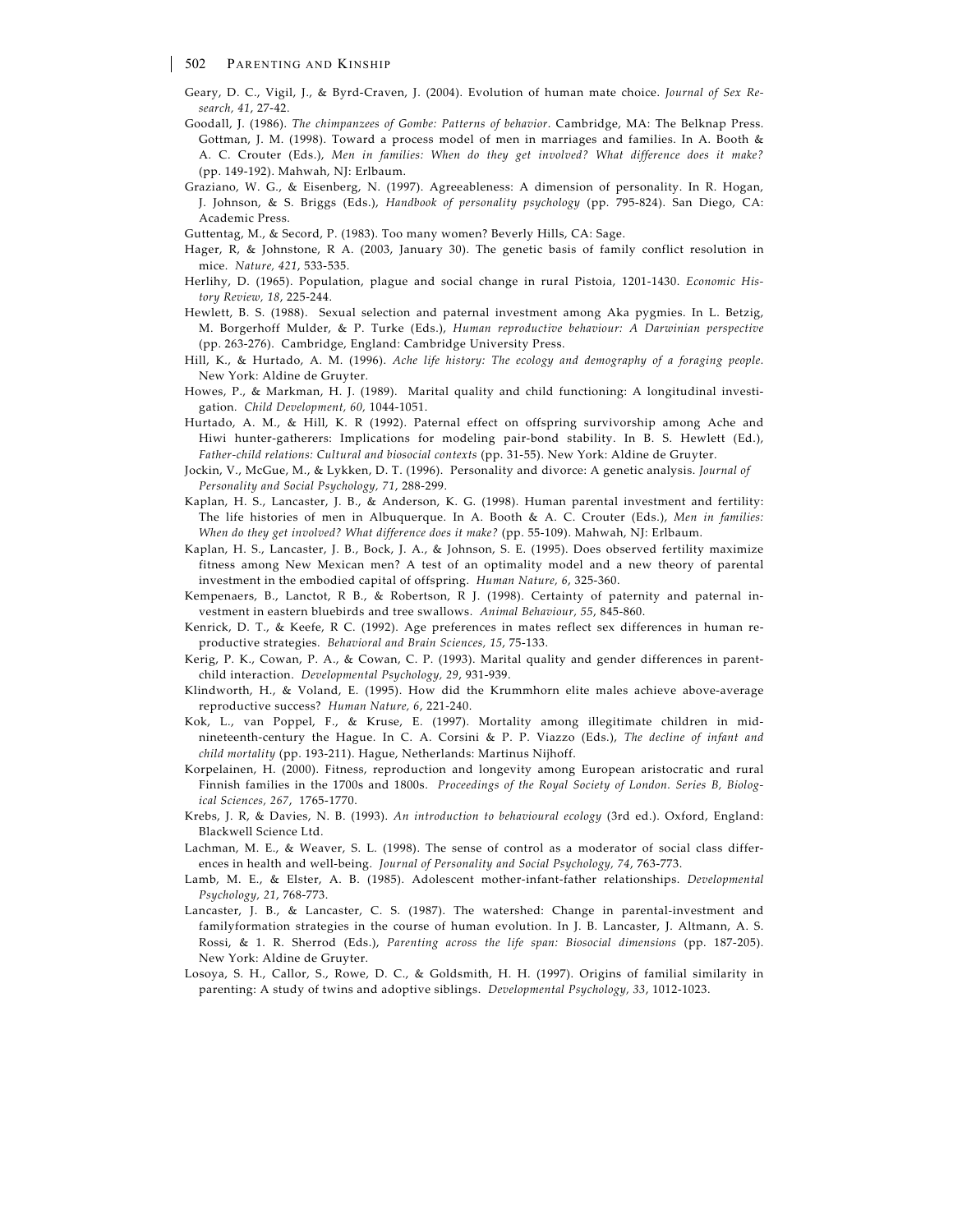- Geary, D. C., Vigil, J., & Byrd-Craven, J. (2004). Evolution of human mate choice. *Journal of Sex Research, 41*, 27-42.
- Goodall, J. (1986). *The chimpanzees of Gombe: Patterns of behavior*. Cambridge, MA: The Belknap Press. Gottman, J. M. (1998). Toward a process model of men in marriages and families. In A. Booth & A. C. Crouter (Eds.), *Men in families: When do they get involved? What difference does it make?*  (pp. 149-192). Mahwah, NJ: Erlbaum.
- Graziano, W. G., & Eisenberg, N. (1997). Agreeableness: A dimension of personality. In R. Hogan, J. Johnson, & S. Briggs (Eds.), *Handbook of personality psychology* (pp. 795-824). San Diego, CA: Academic Press.
- Guttentag, M., & Secord, P. (1983). Too many women? Beverly Hills, CA: Sage.
- Hager, R, & Johnstone, R A. (2003, January 30). The genetic basis of family conflict resolution in mice. *Nature, 421*, 533-535.
- Herlihy, D. (1965). Population, plague and social change in rural Pistoia, 1201-1430. *Economic History Review, 18*, 225-244.
- Hewlett, B. S. (1988). Sexual selection and paternal investment among Aka pygmies. In L. Betzig, M. Borgerhoff Mulder, & P. Turke (Eds.), *Human reproductive behaviour: A Darwinian perspective* (pp. 263-276). Cambridge, England: Cambridge University Press.
- Hill, K., & Hurtado, A. M. (1996). *Ache life history: The ecology and demography of a foraging people.* New York: Aldine de Gruyter.
- Howes, P., & Markman, H. J. (1989). Marital quality and child functioning: A longitudinal investigation*. Child Development, 60,* 1044-1051.
- Hurtado, A. M., & Hill, K. R (1992). Paternal effect on offspring survivorship among Ache and Hiwi hunter-gatherers: Implications for modeling pair-bond stability. In B. S. Hewlett (Ed.), *Father-child relations: Cultural and biosocial contexts* (pp. 31-55). New York: Aldine de Gruyter.
- Jockin, V., McGue, M., & Lykken, D. T. (1996). Personality and divorce: A genetic analysis. *Journal of Personality and Social Psychology, 71*, 288-299.
- Kaplan, H. S., Lancaster, J. B., & Anderson, K. G. (1998). Human parental investment and fertility: The life histories of men in Albuquerque. In A. Booth & A. C. Crouter (Eds.), *Men in families: When do they get involved? What difference does it make?* (pp. 55-109). Mahwah, NJ: Erlbaum.
- Kaplan, H. S., Lancaster, J. B., Bock, J. A., & Johnson, S. E. (1995). Does observed fertility maximize fitness among New Mexican men? A test of an optimality model and a new theory of parental investment in the embodied capital of offspring. *Human Nature, 6*, 325-360.
- Kempenaers, B., Lanctot, R B., & Robertson, R J. (1998). Certainty of paternity and paternal investment in eastern bluebirds and tree swallows. *Animal Behaviour, 55*, 845-860.
- Kenrick, D. T., & Keefe, R C. (1992). Age preferences in mates reflect sex differences in human reproductive strategies. *Behavioral and Brain Sciences, 15*, 75-133.
- Kerig, P. K., Cowan, P. A., & Cowan, C. P. (1993). Marital quality and gender differences in parentchild interaction. *Developmental Psychology, 29*, 931-939.
- Klindworth, H., & Voland, E. (1995). How did the Krummhorn elite males achieve above-average reproductive success? *Human Nature, 6*, 221-240.
- Kok, L., van Poppel, F., & Kruse, E. (1997). Mortality among illegitimate children in midnineteenth-century the Hague. In C. A. Corsini & P. P. Viazzo (Eds.), *The decline of infant and child mortality* (pp. 193-211). Hague, Netherlands: Martinus Nijhoff.
- Korpelainen, H. (2000). Fitness, reproduction and longevity among European aristocratic and rural Finnish families in the 1700s and 1800s. *Proceedings of the Royal Society of London. Series B, Biological Sciences, 267*, 1765-1770.
- Krebs, J. R, & Davies, N. B. (1993). *An introduction to behavioural ecology* (3rd ed.). Oxford, England: Blackwell Science Ltd.
- Lachman, M. E., & Weaver, S. L. (1998). The sense of control as a moderator of social class differences in health and well-being. *Journal of Personality and Social Psychology, 74*, 763-773.
- Lamb, M. E., & Elster, A. B. (1985). Adolescent mother-infant-father relationships. *Developmental Psychology, 21*, 768-773.
- Lancaster, J. B., & Lancaster, C. S. (1987). The watershed: Change in parental-investment and familyformation strategies in the course of human evolution. In J. B. Lancaster, J. Altmann, A. S. Rossi, & 1. R. Sherrod (Eds.), *Parenting across the life span: Biosocial dimensions* (pp. 187-205). New York: Aldine de Gruyter.
- Losoya, S. H., Callor, S., Rowe, D. C., & Goldsmith, H. H. (1997). Origins of familial similarity in parenting: A study of twins and adoptive siblings. *Developmental Psychology, 33*, 1012-1023.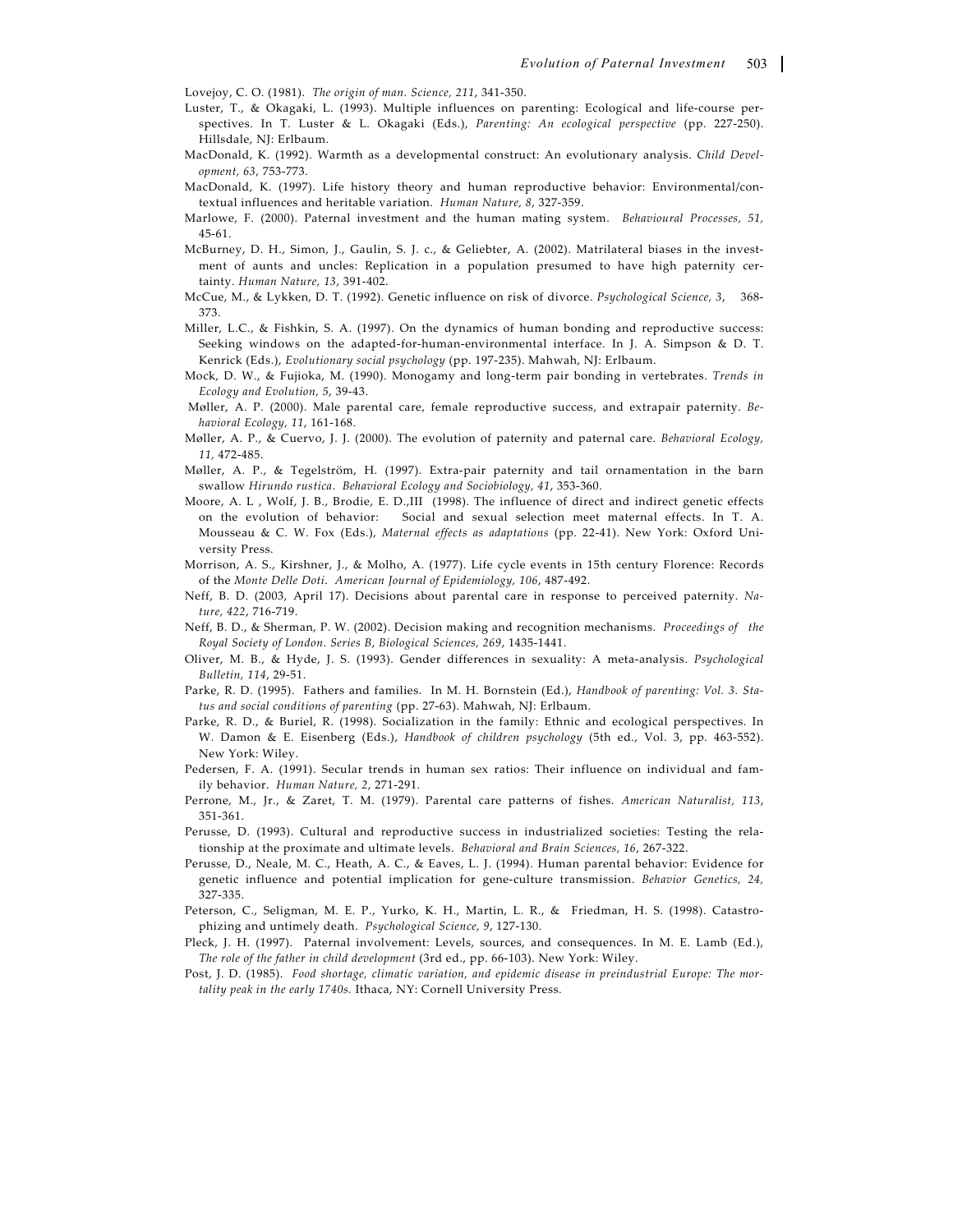Lovejoy, C. O. (1981). *The origin of man. Science, 211*, 341-350.

- Luster, T., & Okagaki, L. (1993). Multiple influences on parenting: Ecological and life-course perspectives. In T. Luster & L. Okagaki (Eds.), *Parenting: An ecological perspective* (pp. 227-250). Hillsdale, NJ: Erlbaum.
- MacDonald, K. (1992). Warmth as a developmental construct: An evolutionary analysis. *Child Development, 63*, 753-773.
- MacDonald, K. (1997). Life history theory and human reproductive behavior: Environmental/contextual influences and heritable variation. *Human Nature, 8*, 327-359.
- Marlowe, F. (2000). Paternal investment and the human mating system. *Behavioural Processes, 51,* 45-61.
- McBurney, D. H., Simon, J., Gaulin, S. J. c., & Geliebter, A. (2002). Matrilateral biases in the investment of aunts and uncles: Replication in a population presumed to have high paternity certainty. *Human Nature, 13*, 391-402.
- McCue, M., & Lykken, D. T. (1992). Genetic influence on risk of divorce. *Psychological Science, 3*, 368- 373.
- Miller, L.C., & Fishkin, S. A. (1997). On the dynamics of human bonding and reproductive success: Seeking windows on the adapted-for-human-environmental interface. In J. A. Simpson & D. T. Kenrick (Eds.), *Evolutionary social psychology* (pp. 197-235). Mahwah, NJ: Erlbaum.
- Mock, D. W., & Fujioka, M. (1990). Monogamy and long-term pair bonding in vertebrates. *Trends in Ecology and Evolution, 5*, 39-43.
- Møller, A. P. (2000). Male parental care, female reproductive success, and extrapair paternity. *Behavioral Ecology, 11*, 161-168.
- Møller, A. P., & Cuervo, J. J. (2000). The evolution of paternity and paternal care. *Behavioral Ecology, 11,* 472-485.
- Møller, A. P., & Tegelström, H. (1997). Extra-pair paternity and tail ornamentation in the barn swallow *Hirundo rustica*. *Behavioral Ecology and Sociobiology, 41*, 353-360.
- Moore, A. L , Wolf, J. B., Brodie, E. D.,III (1998). The influence of direct and indirect genetic effects on the evolution of behavior: Social and sexual selection meet maternal effects. In T. A. Mousseau & C. W. Fox (Eds.), *Maternal effects as adaptations* (pp. 22-41). New York: Oxford University Press.
- Morrison, A. S., Kirshner, J., & Molho, A. (1977). Life cycle events in 15th century Florence: Records of the *Monte Delle Doti*. *American Journal of Epidemiology, 106*, 487-492.
- Neff, B. D. (2003, April 17). Decisions about parental care in response to perceived paternity. *Nature, 422*, 716-719.
- Neff, B. D., & Sherman, P. W. (2002). Decision making and recognition mechanisms. *Proceedings of the Royal Society of London. Series B*, *Biological Sciences, 269*, 1435-1441.
- Oliver, M. B., & Hyde, J. S. (1993). Gender differences in sexuality: A meta-analysis. *Psychological Bulletin, 114*, 29-51.
- Parke, R. D. (1995). Fathers and families. In M. H. Bornstein (Ed.), *Handbook of parenting: Vol. 3. Status and social conditions of parenting* (pp. 27-63). Mahwah, NJ: Erlbaum.
- Parke, R. D., & Buriel, R. (1998). Socialization in the family: Ethnic and ecological perspectives. In W. Damon & E. Eisenberg (Eds.), *Handbook of children psychology* (5th ed., Vol. 3, pp. 463-552). New York: Wiley.
- Pedersen, F. A. (1991). Secular trends in human sex ratios: Their influence on individual and family behavior. *Human Nature, 2*, 271-291.
- Perrone, M., Jr., & Zaret, T. M. (1979). Parental care patterns of fishes. *American Naturalist, 113*, 351-361.
- Perusse, D. (1993). Cultural and reproductive success in industrialized societies: Testing the relationship at the proximate and ultimate levels. *Behavioral and Brain Sciences, 16*, 267-322.
- Perusse, D., Neale, M. C., Heath, A. C., & Eaves, L. J. (1994). Human parental behavior: Evidence for genetic influence and potential implication for gene-culture transmission. *Behavior Genetics, 24,* 327-335.
- Peterson, C., Seligman, M. E. P., Yurko, K. H., Martin, L. R., & Friedman, H. S. (1998). Catastrophizing and untimely death. *Psychological Science, 9*, 127-130.
- Pleck, J. H. (1997). Paternal involvement: Levels, sources, and consequences. In M. E. Lamb (Ed.), *The role of the father in child development* (3rd ed., pp. 66-103). New York: Wiley.
- Post, J. D. (1985). *Food shortage, climatic variation, and epidemic disease in preindustrial Europe: The mortality peak in the early 1740s.* Ithaca, NY: Cornell University Press.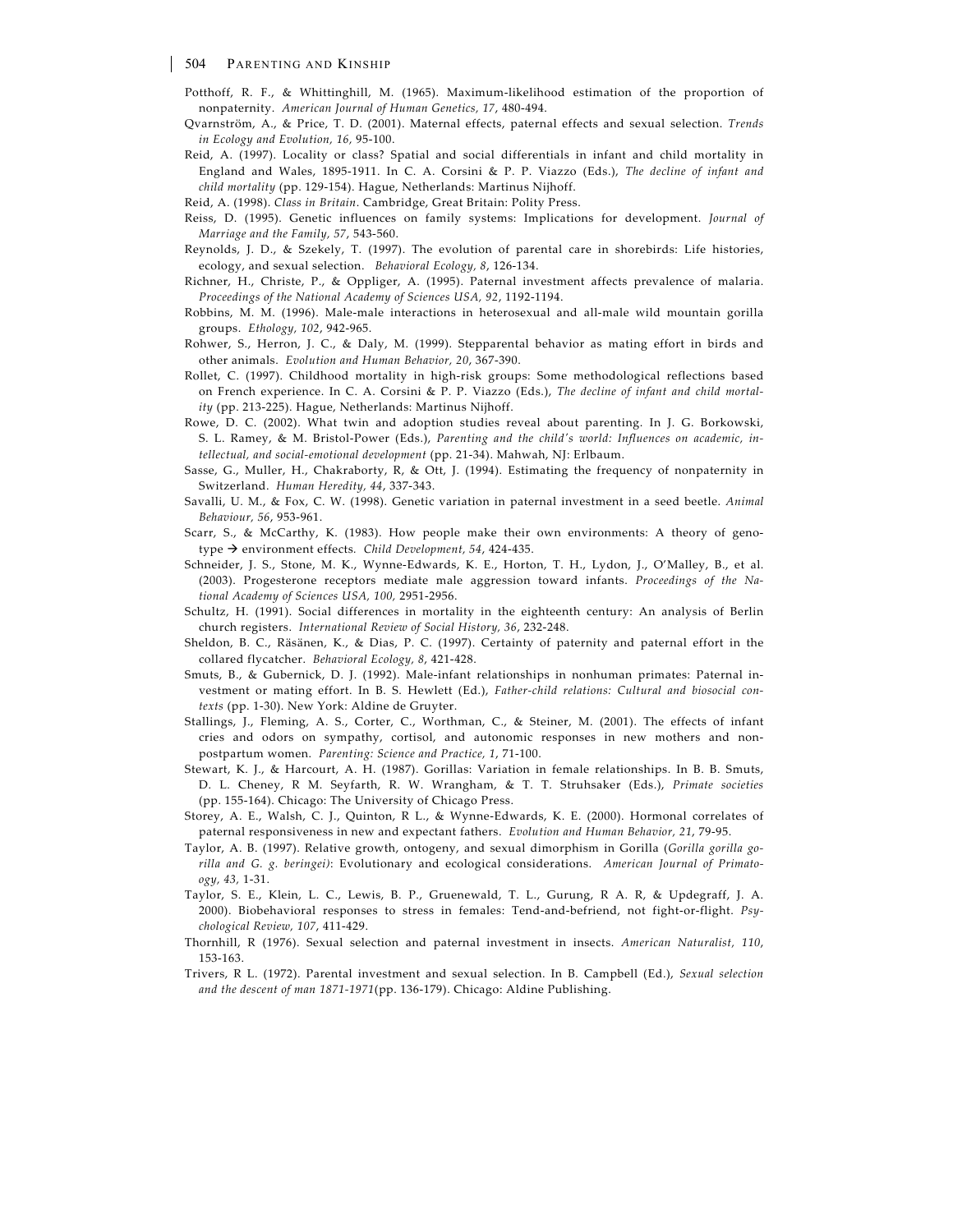- Potthoff, R. F., & Whittinghill, M. (1965). Maximum-likelihood estimation of the proportion of nonpaternity. *American Journal of Human Genetics, 17*, 480-494.
- Qvarnström, A., & Price, T. D. (2001). Maternal effects, paternal effects and sexual selection. *Trends in Ecology and Evolution, 16,* 95-100.
- Reid, A. (1997). Locality or class? Spatial and social differentials in infant and child mortality in England and Wales, 1895-1911. In C. A. Corsini & P. P. Viazzo (Eds.), *The decline of infant and child mortality* (pp. 129-154). Hague, Netherlands: Martinus Nijhoff.

Reid, A. (1998). *Class in Britain*. Cambridge, Great Britain: Polity Press.

- Reiss, D. (1995). Genetic influences on family systems: Implications for development. *Journal of Marriage and the Family, 57*, 543-560.
- Reynolds, J. D., & Szekely, T. (1997). The evolution of parental care in shorebirds: Life histories, ecology, and sexual selection. *Behavioral Ecology, 8*, 126-134.
- Richner, H., Christe, P., & Oppliger, A. (1995). Paternal investment affects prevalence of malaria. *Proceedings of the National Academy of Sciences USA, 92*, 1192-1194.
- Robbins, M. M. (1996). Male-male interactions in heterosexual and all-male wild mountain gorilla groups. *Ethology, 102*, 942-965.
- Rohwer, S., Herron, J. C., & Daly, M. (1999). Stepparental behavior as mating effort in birds and other animals. *Evolution and Human Behavior, 20*, 367-390.
- Rollet, C. (1997). Childhood mortality in high-risk groups: Some methodological reflections based on French experience. In C. A. Corsini & P. P. Viazzo (Eds.), *The decline of infant and child mortality* (pp. 213-225). Hague, Netherlands: Martinus Nijhoff.
- Rowe, D. C. (2002). What twin and adoption studies reveal about parenting. In J. G. Borkowski, S. L. Ramey, & M. Bristol-Power (Eds.), *Parenting and the childʹs world: Influences on academic, intellectual, and social-emotional development* (pp. 21-34). Mahwah, NJ: Erlbaum.
- Sasse, G., Muller, H., Chakraborty, R, & Ott, J. (1994). Estimating the frequency of nonpaternity in Switzerland. *Human Heredity, 44*, 337-343.
- Savalli, U. M., & Fox, C. W. (1998). Genetic variation in paternal investment in a seed beetle. *Animal Behaviour, 56*, 953-961.
- Scarr, S., & McCarthy, K. (1983). How people make their own environments: A theory of genotype → environment effects. Child Development, 54, 424-435.
- Schneider, J. S., Stone, M. K., Wynne-Edwards, K. E., Horton, T. H., Lydon, J., O'Malley, B., et al. (2003). Progesterone receptors mediate male aggression toward infants. *Proceedings of the National Academy of Sciences USA, 100,* 2951-2956.
- Schultz, H. (1991). Social differences in mortality in the eighteenth century: An analysis of Berlin church registers. *International Review of Social History, 36*, 232-248.
- Sheldon, B. C., Räsänen, K., & Dias, P. C. (1997). Certainty of paternity and paternal effort in the collared flycatcher. *Behavioral Ecology, 8*, 421-428.
- Smuts, B., & Gubernick, D. J. (1992). Male-infant relationships in nonhuman primates: Paternal investment or mating effort. In B. S. Hewlett (Ed.), *Father-child relations: Cultural and biosocial contexts* (pp. 1-30). New York: Aldine de Gruyter.
- Stallings, J., Fleming, A. S., Corter, C., Worthman, C., & Steiner, M. (2001). The effects of infant cries and odors on sympathy, cortisol, and autonomic responses in new mothers and nonpostpartum women. *Parenting: Science and Practice, 1*, 71-100.
- Stewart, K. J., & Harcourt, A. H. (1987). Gorillas: Variation in female relationships. In B. B. Smuts, D. L. Cheney, R M. Seyfarth, R. W. Wrangham, & T. T. Struhsaker (Eds.), *Primate societies*  (pp. 155-164). Chicago: The University of Chicago Press.
- Storey, A. E., Walsh, C. J., Quinton, R L., & Wynne-Edwards, K. E. (2000). Hormonal correlates of paternal responsiveness in new and expectant fathers. *Evolution and Human Behavior, 21*, 79-95.
- Taylor, A. B. (1997). Relative growth, ontogeny, and sexual dimorphism in Gorilla (*Gorilla gorilla gorilla and G. g. beringei)*: Evolutionary and ecological considerations. *American Journal of Primatoogy, 43,* 1-31.
- Taylor, S. E., Klein, L. C., Lewis, B. P., Gruenewald, T. L., Gurung, R A. R, & Updegraff, J. A. 2000). Biobehavioral responses to stress in females: Tend-and-befriend, not fight-or-flight. *Psychological Review, 107*, 411-429.
- Thornhill, R (1976). Sexual selection and paternal investment in insects. *American Naturalist, 110*, 153-163.
- Trivers, R L. (1972). Parental investment and sexual selection. In B. Campbell (Ed.), *Sexual selection and the descent of man 1871-1971*(pp. 136-179). Chicago: Aldine Publishing.